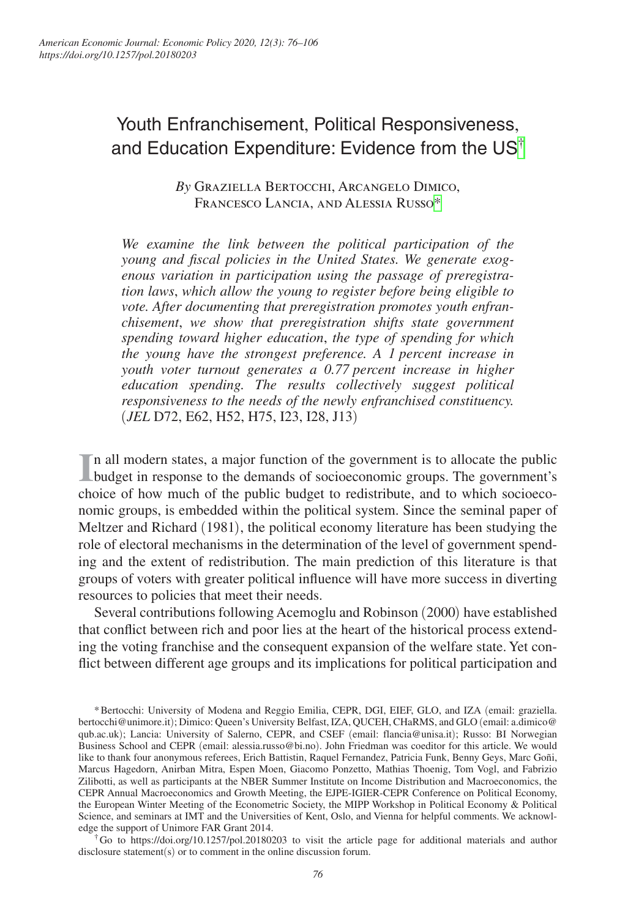# Youth Enfranchisement, Political Responsiveness, and Education Expenditure: Evidence from the US[†](#page-0-0)

*By* Graziella Bertocchi, Arcangelo Dimico, Francesco Lancia, and Alessia Russo[\\*](#page-0-1)

*We examine the link between the political participation of the young and fiscal policies in the United States. We generate exogenous variation in participation using the passage of preregistration laws*, *which allow the young to register before being eligible to vote. After documenting that preregistration promotes youth enfranchisement*, *we show that preregistration shifts state government spending toward higher education*, *the type of spending for which the young have the strongest preference. A 1 percent increase in youth voter turnout generates a 0.77 percent increase in higher education spending. The results collectively suggest political responsiveness to the needs of the newly enfranchised constituency.* (*JEL* D72, E62, H52, H75, I23, I28, J13)

In all modern states, a major function of the government is to allocate the public budget in response to the demands of socioeconomic groups. The government's budget in response to the demands of socioeconomic groups. The government's choice of how much of the public budget to redistribute, and to which socioeconomic groups, is embedded within the political system. Since the seminal paper of Meltzer and Richard (1981), the political economy literature has been studying the role of electoral mechanisms in the determination of the level of government spending and the extent of redistribution. The main prediction of this literature is that groups of voters with greater political influence will have more success in diverting resources to policies that meet their needs.

Several contributions following Acemoglu and Robinson (2000) have established that conflict between rich and poor lies at the heart of the historical process extending the voting franchise and the consequent expansion of the welfare state. Yet conflict between different age groups and its implications for political participation and

<span id="page-0-1"></span>\*Bertocchi: University of Modena and Reggio Emilia, CEPR, DGI, EIEF, GLO, and IZA (email: [graziella.](mailto:graziella.bertocchi@unimore.it) [bertocchi@unimore.it](mailto:graziella.bertocchi@unimore.it)); Dimico: Queen's University Belfast, IZA, QUCEH, CHaRMS, and GLO (email: [a.dimico@](mailto:a.dimico@qub.ac.uk) [qub.ac.uk](mailto:a.dimico@qub.ac.uk)); Lancia: University of Salerno, CEPR, and CSEF (email: [flancia@unisa.it](mailto:flancia@unisa.it)); Russo: BI Norwegian Business School and CEPR (email: [alessia.russo@bi.no](mailto:alessia.russo@bi.no)). John Friedman was coeditor for this article. We would like to thank four anonymous referees, Erich Battistin, Raquel Fernandez, Patricia Funk, Benny Geys, Marc Goñi, Marcus Hagedorn, Anirban Mitra, Espen Moen, Giacomo Ponzetto, Mathias Thoenig, Tom Vogl, and Fabrizio Zilibotti, as well as participants at the NBER Summer Institute on Income Distribution and Macroeconomics, the CEPR Annual Macroeconomics and Growth Meeting, the EJPE-IGIER-CEPR Conference on Political Economy, the European Winter Meeting of the Econometric Society, the MIPP Workshop in Political Economy & Political Science, and seminars at IMT and the Universities of Kent, Oslo, and Vienna for helpful comments. We acknowledge the support of Unimore FAR Grant 2014.

<span id="page-0-0"></span>†Go to <https://doi.org/10.1257/pol.20180203>to visit the article page for additional materials and author disclosure statement(s) or to comment in the online discussion forum.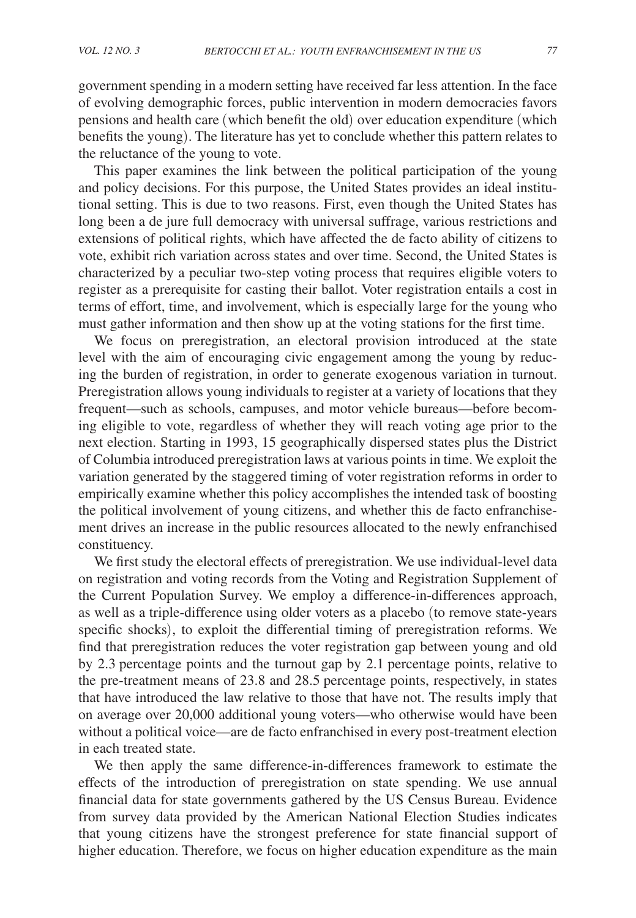government spending in a modern setting have received far less attention. In the face of evolving demographic forces, public intervention in modern democracies favors pensions and health care (which benefit the old) over education expenditure (which benefits the young). The literature has yet to conclude whether this pattern relates to the reluctance of the young to vote.

This paper examines the link between the political participation of the young and policy decisions. For this purpose, the United States provides an ideal institutional setting. This is due to two reasons. First, even though the United States has long been a de jure full democracy with universal suffrage, various restrictions and extensions of political rights, which have affected the de facto ability of citizens to vote, exhibit rich variation across states and over time. Second, the United States is characterized by a peculiar two-step voting process that requires eligible voters to register as a prerequisite for casting their ballot. Voter registration entails a cost in terms of effort, time, and involvement, which is especially large for the young who must gather information and then show up at the voting stations for the first time.

We focus on preregistration, an electoral provision introduced at the state level with the aim of encouraging civic engagement among the young by reducing the burden of registration, in order to generate exogenous variation in turnout. Preregistration allows young individuals to register at a variety of locations that they frequent—such as schools, campuses, and motor vehicle bureaus—before becoming eligible to vote, regardless of whether they will reach voting age prior to the next election. Starting in 1993, 15 geographically dispersed states plus the District of Columbia introduced preregistration laws at various points in time. We exploit the variation generated by the staggered timing of voter registration reforms in order to empirically examine whether this policy accomplishes the intended task of boosting the political involvement of young citizens, and whether this de facto enfranchisement drives an increase in the public resources allocated to the newly enfranchised constituency.

We first study the electoral effects of preregistration. We use individual-level data on registration and voting records from the Voting and Registration Supplement of the Current Population Survey. We employ a difference-in-differences approach, as well as a triple-difference using older voters as a placebo (to remove state-years specific shocks), to exploit the differential timing of preregistration reforms. We find that preregistration reduces the voter registration gap between young and old by 2.3 percentage points and the turnout gap by 2.1 percentage points, relative to the pre-treatment means of 23.8 and 28.5 percentage points, respectively, in states that have introduced the law relative to those that have not. The results imply that on average over 20,000 additional young voters—who otherwise would have been without a political voice—are de facto enfranchised in every post-treatment election in each treated state.

We then apply the same difference-in-differences framework to estimate the effects of the introduction of preregistration on state spending. We use annual financial data for state governments gathered by the US Census Bureau. Evidence from survey data provided by the American National Election Studies indicates that young citizens have the strongest preference for state financial support of higher education. Therefore, we focus on higher education expenditure as the main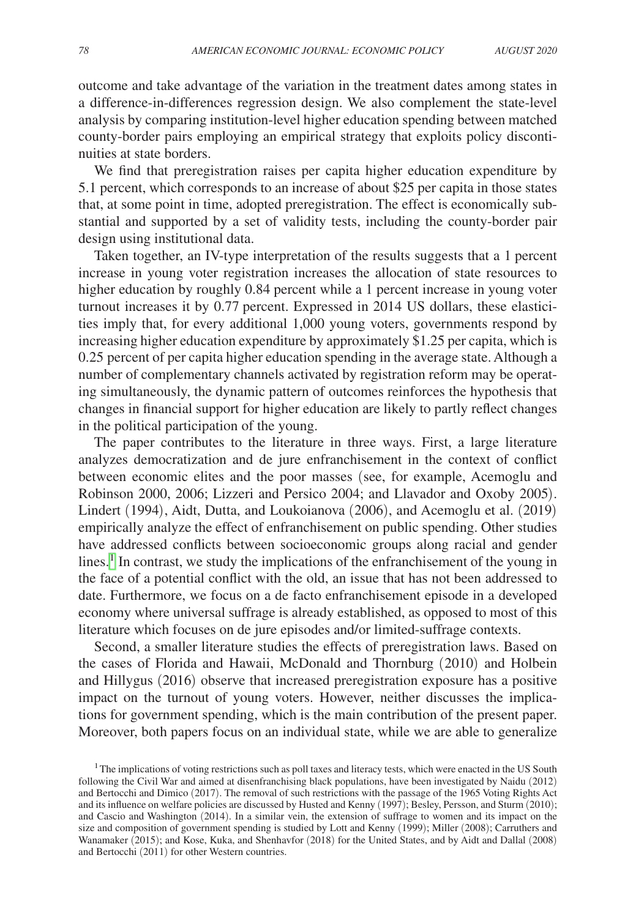outcome and take advantage of the variation in the treatment dates among states in a difference-in-differences regression design. We also complement the state-level analysis by comparing institution-level higher education spending between matched county-border pairs employing an empirical strategy that exploits policy discontinuities at state borders.

We find that preregistration raises per capita higher education expenditure by 5.1 percent, which corresponds to an increase of about \$25 per capita in those states that, at some point in time, adopted preregistration. The effect is economically substantial and supported by a set of validity tests, including the county-border pair design using institutional data.

Taken together, an IV-type interpretation of the results suggests that a 1 percent increase in young voter registration increases the allocation of state resources to higher education by roughly 0.84 percent while a 1 percent increase in young voter turnout increases it by 0.77 percent. Expressed in 2014 US dollars, these elasticities imply that, for every additional 1,000 young voters, governments respond by increasing higher education expenditure by approximately \$1.25 per capita, which is 0.25 percent of per capita higher education spending in the average state. Although a number of complementary channels activated by registration reform may be operating simultaneously, the dynamic pattern of outcomes reinforces the hypothesis that changes in financial support for higher education are likely to partly reflect changes in the political participation of the young.

The paper contributes to the literature in three ways. First, a large literature analyzes democratization and de jure enfranchisement in the context of conflict between economic elites and the poor masses (see, for example, Acemoglu and Robinson 2000, 2006; Lizzeri and Persico 2004; and Llavador and Oxoby 2005). Lindert (1994), Aidt, Dutta, and Loukoianova (2006), and Acemoglu et al. (2019) empirically analyze the effect of enfranchisement on public spending. Other studies have addressed conflicts between socioeconomic groups along racial and gender lines.<sup>[1](#page-2-0)</sup> In contrast, we study the implications of the enfranchisement of the young in the face of a potential conflict with the old, an issue that has not been addressed to date. Furthermore, we focus on a de facto enfranchisement episode in a developed economy where universal suffrage is already established, as opposed to most of this literature which focuses on de jure episodes and/or limited-suffrage contexts.

Second, a smaller literature studies the effects of preregistration laws. Based on the cases of Florida and Hawaii, McDonald and Thornburg (2010) and Holbein and Hillygus (2016) observe that increased preregistration exposure has a positive impact on the turnout of young voters. However, neither discusses the implications for government spending, which is the main contribution of the present paper. Moreover, both papers focus on an individual state, while we are able to generalize

<span id="page-2-0"></span><sup>&</sup>lt;sup>1</sup>The implications of voting restrictions such as poll taxes and literacy tests, which were enacted in the US South following the Civil War and aimed at disenfranchising black populations, have been investigated by Naidu (2012) and Bertocchi and Dimico (2017). The removal of such restrictions with the passage of the 1965 Voting Rights Act and its influence on welfare policies are discussed by Husted and Kenny (1997); Besley, Persson, and Sturm (2010); and Cascio and Washington (2014). In a similar vein, the extension of suffrage to women and its impact on the size and composition of government spending is studied by Lott and Kenny (1999); Miller (2008); Carruthers and Wanamaker (2015); and Kose, Kuka, and Shenhavfor (2018) for the United States, and by Aidt and Dallal (2008) and Bertocchi (2011) for other Western countries.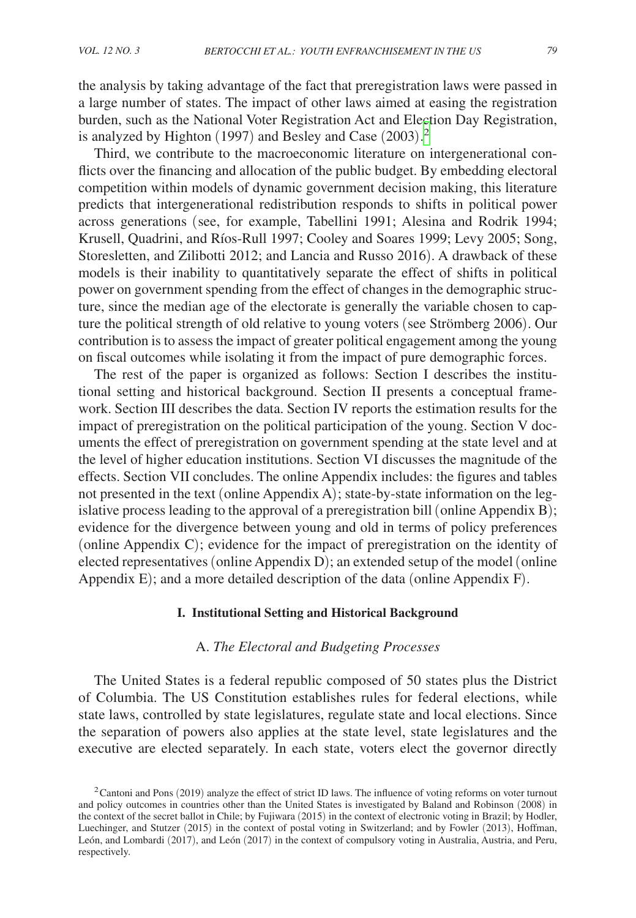the analysis by taking advantage of the fact that preregistration laws were passed in a large number of states. The impact of other laws aimed at easing the registration burden, such as the National Voter Registration Act and Election Day Registration, is analyzed by Highton (1997) and Besley and Case (2003). [2](#page-3-0)

Third, we contribute to the macroeconomic literature on intergenerational conflicts over the financing and allocation of the public budget. By embedding electoral competition within models of dynamic government decision making, this literature predicts that intergenerational redistribution responds to shifts in political power across generations (see, for example, Tabellini 1991; Alesina and Rodrik 1994; Krusell, Quadrini, and Ríos-Rull 1997; Cooley and Soares 1999; Levy 2005; Song, Storesletten, and Zilibotti 2012; and Lancia and Russo 2016). A drawback of these models is their inability to quantitatively separate the effect of shifts in political power on government spending from the effect of changes in the demographic structure, since the median age of the electorate is generally the variable chosen to capture the political strength of old relative to young voters (see Strömberg 2006). Our contribution is to assess the impact of greater political engagement among the young on fiscal outcomes while isolating it from the impact of pure demographic forces.

The rest of the paper is organized as follows: Section I describes the institutional setting and historical background. Section II presents a conceptual framework. Section III describes the data. Section IV reports the estimation results for the impact of preregistration on the political participation of the young. Section V documents the effect of preregistration on government spending at the state level and at the level of higher education institutions. Section VI discusses the magnitude of the effects. Section VII concludes. The online Appendix includes: the figures and tables not presented in the text (online Appendix A); state-by-state information on the legislative process leading to the approval of a preregistration bill (online Appendix B); evidence for the divergence between young and old in terms of policy preferences (online Appendix C); evidence for the impact of preregistration on the identity of elected representatives (online Appendix D); an extended setup of the model (online Appendix E); and a more detailed description of the data (online Appendix F).

# **I. Institutional Setting and Historical Background**

# A. *The Electoral and Budgeting Processes*

The United States is a federal republic composed of 50 states plus the District of Columbia. The US Constitution establishes rules for federal elections, while state laws, controlled by state legislatures, regulate state and local elections. Since the separation of powers also applies at the state level, state legislatures and the executive are elected separately. In each state, voters elect the governor directly

<span id="page-3-0"></span> $2$ Cantoni and Pons (2019) analyze the effect of strict ID laws. The influence of voting reforms on voter turnout and policy outcomes in countries other than the United States is investigated by Baland and Robinson (2008) in the context of the secret ballot in Chile; by Fujiwara (2015) in the context of electronic voting in Brazil; by Hodler, Luechinger, and Stutzer (2015) in the context of postal voting in Switzerland; and by Fowler (2013), Hoffman, León, and Lombardi (2017), and León (2017) in the context of compulsory voting in Australia, Austria, and Peru, respectively.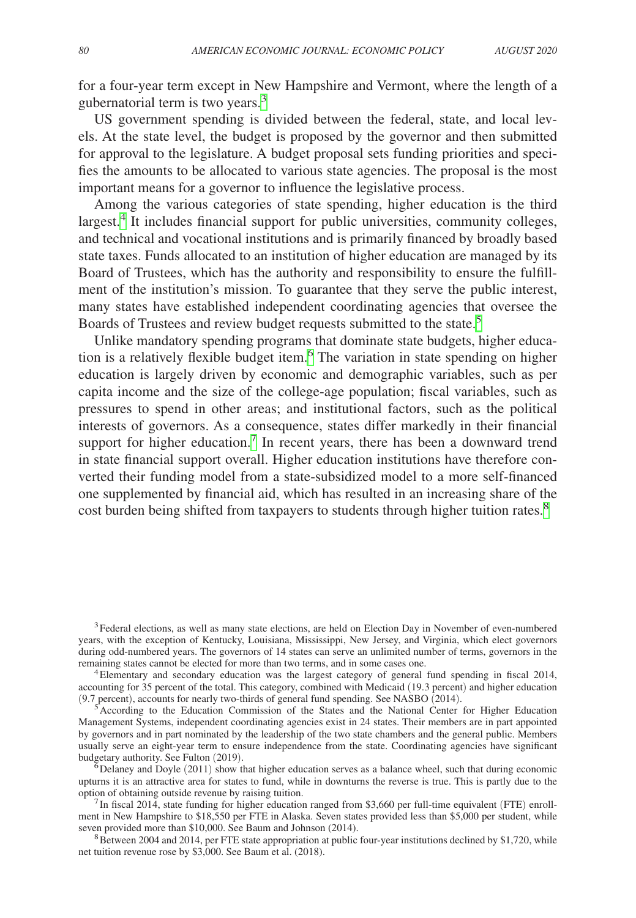for a four-year term except in New Hampshire and Vermont, where the length of a gubernatorial term is two years.[3](#page-4-0)

US government spending is divided between the federal, state, and local levels. At the state level, the budget is proposed by the governor and then submitted for approval to the legislature. A budget proposal sets funding priorities and specifies the amounts to be allocated to various state agencies. The proposal is the most important means for a governor to influence the legislative process.

Among the various categories of state spending, higher education is the third largest.<sup>[4](#page-4-1)</sup> It includes financial support for public universities, community colleges, and technical and vocational institutions and is primarily financed by broadly based state taxes. Funds allocated to an institution of higher education are managed by its Board of Trustees, which has the authority and responsibility to ensure the fulfillment of the institution's mission. To guarantee that they serve the public interest, many states have established independent coordinating agencies that oversee the Boards of Trustees and review budget requests submitted to the state.<sup>[5](#page-4-2)</sup>

Unlike mandatory spending programs that dominate state budgets, higher education is a relatively flexible budget item.<sup>6</sup> The variation in state spending on higher education is largely driven by economic and demographic variables, such as per capita income and the size of the college-age population; fiscal variables, such as pressures to spend in other areas; and institutional factors, such as the political interests of governors. As a consequence, states differ markedly in their financial support for higher education.<sup>[7](#page-4-4)</sup> In recent years, there has been a downward trend in state financial support overall. Higher education institutions have therefore converted their funding model from a state-subsidized model to a more self-financed one supplemented by financial aid, which has resulted in an increasing share of the cost burden being shifted from taxpayers to students through higher tuition rates.<sup>8</sup>

<span id="page-4-0"></span><sup>3</sup>Federal elections, as well as many state elections, are held on Election Day in November of even-numbered years, with the exception of Kentucky, Louisiana, Mississippi, New Jersey, and Virginia, which elect governors during odd-numbered years. The governors of 14 states can serve an unlimited number of terms, governors in the remaining states cannot be elected for more than two terms, and in some cases one. 4Elementary and secondary education was the largest category of general fund spending in fiscal 2014,

<span id="page-4-1"></span>accounting for 35 percent of the total. This category, combined with Medicaid (19.3 percent) and higher education (9.7 percent), accounts for nearly two-thirds of general fund spending. See NASBO (2014).

<span id="page-4-2"></span> $\mathcal{F}_{\mathcal{S}}$  According to the Education Commission of the States and the National Center for Higher Education Management Systems, independent coordinating agencies exist in 24 states. Their members are in part appointed by governors and in part nominated by the leadership of the two state chambers and the general public. Members usually serve an eight-year term to ensure independence from the state. Coordinating agencies have significant budgetary authority. See Fulton (2019).<br><sup>6</sup>Delaney and Doyle (2011) show that higher education serves as a balance wheel, such that during economic

<span id="page-4-3"></span>upturns it is an attractive area for states to fund, while in downturns the reverse is true. This is partly due to the

<span id="page-4-4"></span> $^{7}$ In fiscal 2014, state funding for higher education ranged from \$3,660 per full-time equivalent (FTE) enrollment in New Hampshire to \$18,550 per FTE in Alaska. Seven states provided less than \$5,000 per student, while seven provided more than \$10,000. See Baum and Johnson (2014).<br><sup>8</sup>Between 2004 and 2014, per FTE state appropriation at public four-year institutions declined by \$1,720, while

<span id="page-4-5"></span>net tuition revenue rose by \$3,000. See Baum et al. (2018).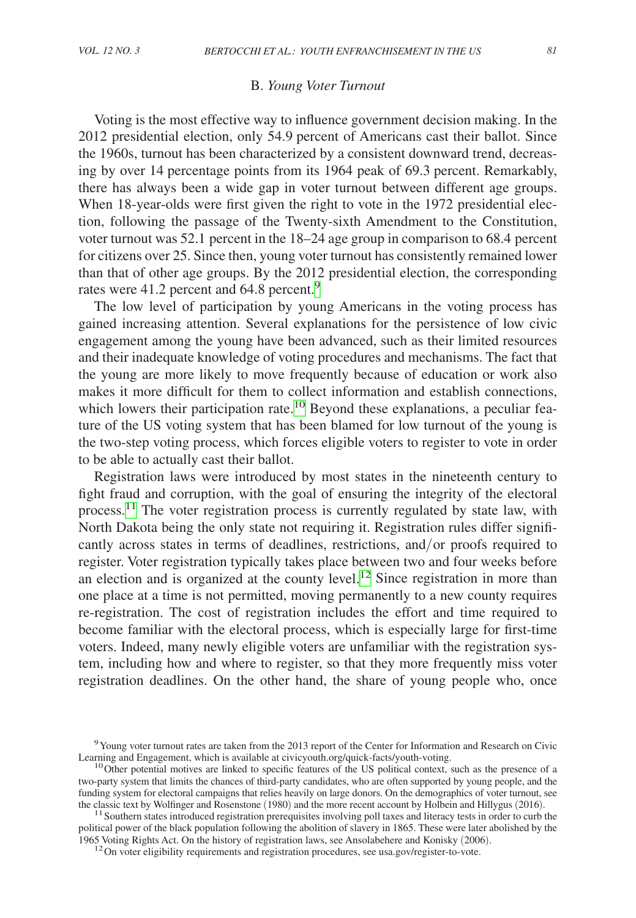#### B. *Young Voter Turnout*

Voting is the most effective way to influence government decision making. In the 2012 presidential election, only 54.9 percent of Americans cast their ballot. Since the 1960s, turnout has been characterized by a consistent downward trend, decreasing by over 14 percentage points from its 1964 peak of 69.3 percent. Remarkably, there has always been a wide gap in voter turnout between different age groups. When 18-year-olds were first given the right to vote in the 1972 presidential election, following the passage of the Twenty-sixth Amendment to the Constitution, voter turnout was 52.1 percent in the 18–24 age group in comparison to 68.4 percent for citizens over 25. Since then, young voter turnout has consistently remained lower than that of other age groups. By the 2012 presidential election, the corresponding rates were 41.2 percent and 64.8 percent.<sup>[9](#page-5-0)</sup>

The low level of participation by young Americans in the voting process has gained increasing attention. Several explanations for the persistence of low civic engagement among the young have been advanced, such as their limited resources and their inadequate knowledge of voting procedures and mechanisms. The fact that the young are more likely to move frequently because of education or work also makes it more difficult for them to collect information and establish connections, which lowers their participation rate.<sup>[10](#page-5-1)</sup> Beyond these explanations, a peculiar feature of the US voting system that has been blamed for low turnout of the young is the two-step voting process, which forces eligible voters to register to vote in order to be able to actually cast their ballot.

Registration laws were introduced by most states in the nineteenth century to fight fraud and corruption, with the goal of ensuring the integrity of the electoral process.<sup>11</sup> The voter registration process is currently regulated by state law, with North Dakota being the only state not requiring it. Registration rules differ significantly across states in terms of deadlines, restrictions, and/or proofs required to register. Voter registration typically takes place between two and four weeks before an election and is organized at the county level.<sup>12</sup> Since registration in more than one place at a time is not permitted, moving permanently to a new county requires re-registration. The cost of registration includes the effort and time required to become familiar with the electoral process, which is especially large for first-time voters. Indeed, many newly eligible voters are unfamiliar with the registration system, including how and where to register, so that they more frequently miss voter registration deadlines. On the other hand, the share of young people who, once

<span id="page-5-2"></span> $11$  Southern states introduced registration prerequisites involving poll taxes and literacy tests in order to curb the political power of the black population following the abolition of slavery in 1865. These were later abolished by the 1965 Voting Rights Act. On the history of registration laws, see Ansolabehere and Konisky (2006).

<span id="page-5-3"></span> $12$ On voter eligibility requirements and registration procedures, see [usa.gov/register-to-vote.](http://usa.gov/­register-to-vote.)

<span id="page-5-0"></span><sup>&</sup>lt;sup>9</sup>Young voter turnout rates are taken from the 2013 report of the Center for Information and Research on Civic<br>Learning and Engagement, which is available at civicyouth.org/quick-facts/youth-voting.

<span id="page-5-1"></span> $10$ Other potential motives are linked to specific features of the US political context, such as the presence of a two-party system that limits the chances of third-party candidates, who are often supported by young people, and the funding system for electoral campaigns that relies heavily on large donors. On the demographics of voter turnout, see the classic text by Wolfinger and Rosenstone (1980) and the more recent account by Holbein and Hillygus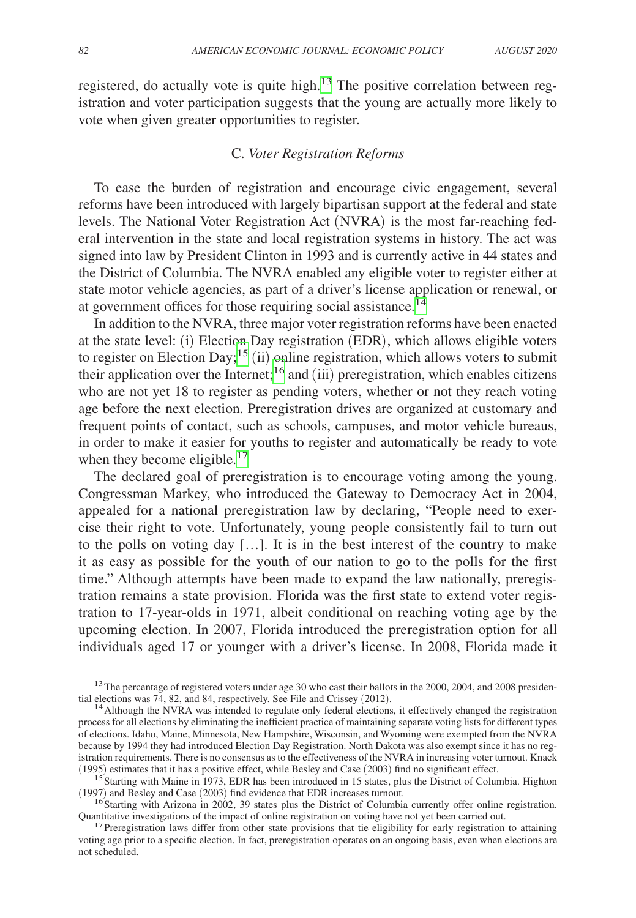registered, do actually vote is quite high. $13$  The positive correlation between registration and voter participation suggests that the young are actually more likely to vote when given greater opportunities to register.

# C. *Voter Registration Reforms*

To ease the burden of registration and encourage civic engagement, several reforms have been introduced with largely bipartisan support at the federal and state levels. The National Voter Registration Act (NVRA) is the most far-reaching federal intervention in the state and local registration systems in history. The act was signed into law by President Clinton in 1993 and is currently active in 44 states and the District of Columbia. The NVRA enabled any eligible voter to register either at state motor vehicle agencies, as part of a driver's license application or renewal, or at government offices for those requiring social assistance.<sup>14</sup>

In addition to the NVRA, three major voter registration reforms have been enacted at the state level: (i) Election Day registration (EDR), which allows eligible voters to register on Election Day;<sup>15</sup> (ii) online registration, which allows voters to submit their application over the Internet;<sup>16</sup> and (iii) preregistration, which enables citizens who are not yet 18 to register as pending voters, whether or not they reach voting age before the next election. Preregistration drives are organized at customary and frequent points of contact, such as schools, campuses, and motor vehicle bureaus, in order to make it easier for youths to register and automatically be ready to vote when they become eligible.<sup>[17](#page-6-4)</sup>

The declared goal of preregistration is to encourage voting among the young. Congressman Markey, who introduced the Gateway to Democracy Act in 2004, appealed for a national preregistration law by declaring, "People need to exercise their right to vote. Unfortunately, young people consistently fail to turn out to the polls on voting day […]. It is in the best interest of the country to make it as easy as possible for the youth of our nation to go to the polls for the first time." Although attempts have been made to expand the law nationally, preregistration remains a state provision. Florida was the first state to extend voter registration to 17-year-olds in 1971, albeit conditional on reaching voting age by the upcoming election. In 2007, Florida introduced the preregistration option for all individuals aged 17 or younger with a driver's license. In 2008, Florida made it

<span id="page-6-0"></span><sup>&</sup>lt;sup>13</sup>The percentage of registered voters under age 30 who cast their ballots in the 2000, 2004, and 2008 presidential elections was 74, 82, and 84, respectively. See File and Crissey (2012).

<span id="page-6-1"></span><sup>&</sup>lt;sup>14</sup> Although the NVRA was intended to regulate only federal elections, it effectively changed the registration process for all elections by eliminating the inefficient practice of maintaining separate voting lists for different types of elections. Idaho, Maine, Minnesota, New Hampshire, Wisconsin, and Wyoming were exempted from the NVRA because by 1994 they had introduced Election Day Registration. North Dakota was also exempt since it has no registration requirements. There is no consensus as to the effectiveness of the NVRA in increasing voter turnout. Knack (1995) estimates that it has a positive effect, while Besley and Case (2003) find no significant effect.

<span id="page-6-2"></span><sup>&</sup>lt;sup>15</sup>Starting with Maine in 1973, EDR has been introduced in 15 states, plus the District of Columbia. Highton (1997) and Besley and Case (2003) find evidence that EDR increases turnout.

<span id="page-6-3"></span><sup>&</sup>lt;sup>16</sup>Starting with Arizona in 2002, 39 states plus the District of Columbia currently offer online registration. Quantitative investigations of the impact of online registration on voting have not yet been carried out.

<span id="page-6-4"></span><sup>&</sup>lt;sup>17</sup> Preregistration laws differ from other state provisions that tie eligibility for early registration to attaining voting age prior to a specific election. In fact, preregistration operates on an ongoing basis, even when elections are not scheduled.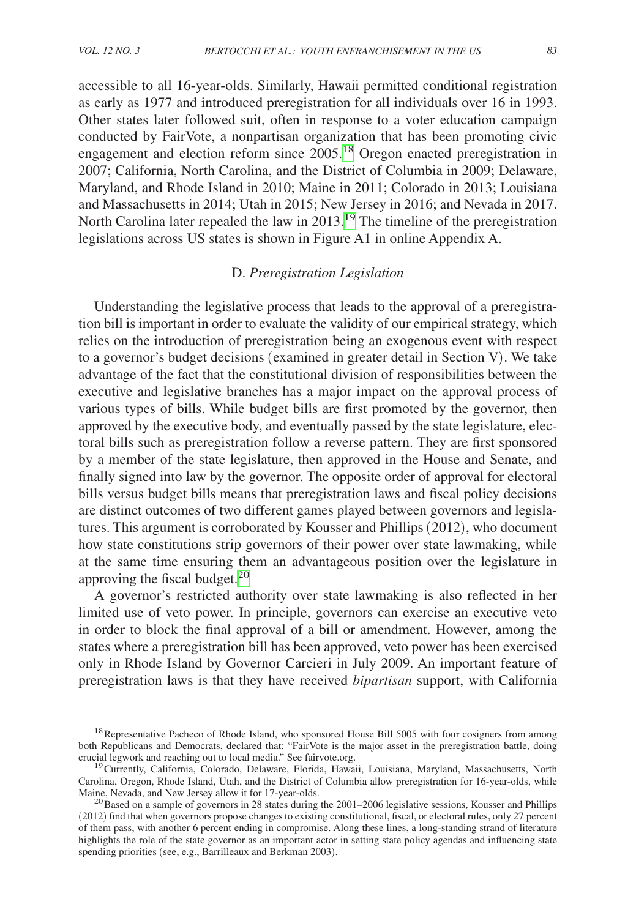accessible to all 16-year-olds. Similarly, Hawaii permitted conditional registration as early as 1977 and introduced preregistration for all individuals over 16 in 1993. Other states later followed suit, often in response to a voter education campaign conducted by FairVote, a nonpartisan organization that has been promoting civic engagement and election reform since 2005.[18](#page-7-0) Oregon enacted preregistration in 2007; California, North Carolina, and the District of Columbia in 2009; Delaware, Maryland, and Rhode Island in 2010; Maine in 2011; Colorado in 2013; Louisiana and Massachusetts in 2014; Utah in 2015; New Jersey in 2016; and Nevada in 2017. North Carolina later repealed the law in 2013[.19](#page-7-1) The timeline of the preregistration legislations across US states is shown in Figure A1 in online Appendix A.

# D. *Preregistration Legislation*

Understanding the legislative process that leads to the approval of a preregistration bill is important in order to evaluate the validity of our empirical strategy, which relies on the introduction of preregistration being an exogenous event with respect to a governor's budget decisions (examined in greater detail in Section V). We take advantage of the fact that the constitutional division of responsibilities between the executive and legislative branches has a major impact on the approval process of various types of bills. While budget bills are first promoted by the governor, then approved by the executive body, and eventually passed by the state legislature, electoral bills such as preregistration follow a reverse pattern. They are first sponsored by a member of the state legislature, then approved in the House and Senate, and finally signed into law by the governor. The opposite order of approval for electoral bills versus budget bills means that preregistration laws and fiscal policy decisions are distinct outcomes of two different games played between governors and legislatures. This argument is corroborated by Kousser and Phillips (2012), who document how state constitutions strip governors of their power over state lawmaking, while at the same time ensuring them an advantageous position over the legislature in approving the fiscal budget.[20](#page-7-2)

A governor's restricted authority over state lawmaking is also reflected in her limited use of veto power. In principle, governors can exercise an executive veto in order to block the final approval of a bill or amendment. However, among the states where a preregistration bill has been approved, veto power has been exercised only in Rhode Island by Governor Carcieri in July 2009. An important feature of preregistration laws is that they have received *bipartisan* support, with California

<span id="page-7-0"></span><sup>&</sup>lt;sup>18</sup>Representative Pacheco of Rhode Island, who sponsored House Bill 5005 with four cosigners from among both Republicans and Democrats, declared that: "FairVote is the major asset in the preregistration battle, doing crucial legwork and reaching out to local media." See fairvote.org.

<span id="page-7-1"></span><sup>&</sup>lt;sup>19</sup> Currently, California, Colorado, Delaware, Florida, Hawaii, Louisiana, Maryland, Massachusetts, North Carolina, Oregon, Rhode Island, Utah, and the District of Columbia allow preregistration for 16-year-olds, while

<span id="page-7-2"></span> $^{20}$ Based on a sample of governors in 28 states during the 2001–2006 legislative sessions, Kousser and Phillips (2012) find that when governors propose changes to existing constitutional, fiscal, or electoral rules, only 27 percent of them pass, with another 6 percent ending in compromise. Along these lines, a long-standing strand of literature highlights the role of the state governor as an important actor in setting state policy agendas and influencing state spending priorities (see, e.g., Barrilleaux and Berkman 2003).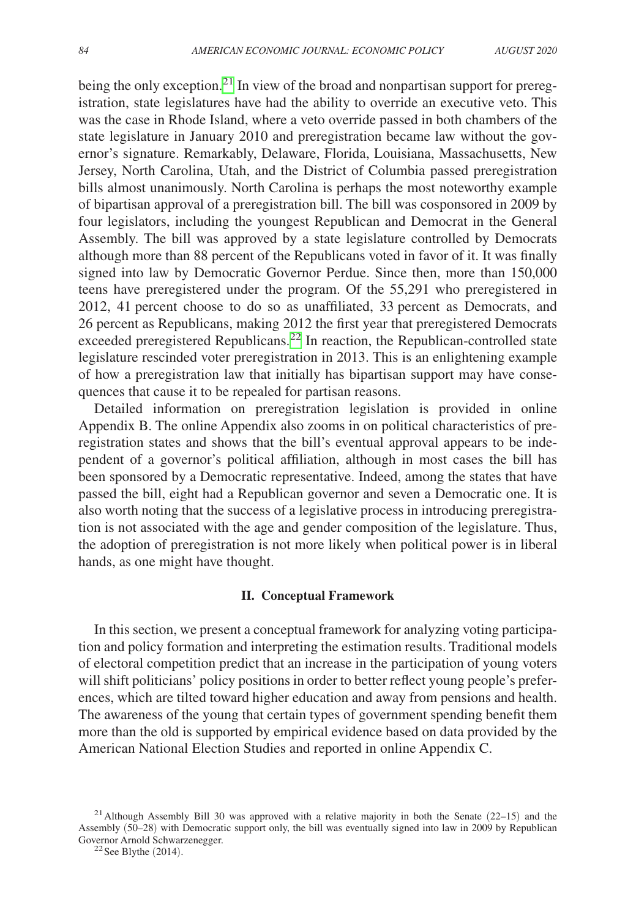being the only exception.<sup>21</sup> In view of the broad and nonpartisan support for preregistration, state legislatures have had the ability to override an executive veto. This was the case in Rhode Island, where a veto override passed in both chambers of the state legislature in January 2010 and preregistration became law without the governor's signature. Remarkably, Delaware, Florida, Louisiana, Massachusetts, New Jersey, North Carolina, Utah, and the District of Columbia passed preregistration bills almost unanimously. North Carolina is perhaps the most noteworthy example of bipartisan approval of a preregistration bill. The bill was cosponsored in 2009 by four legislators, including the youngest Republican and Democrat in the General Assembly. The bill was approved by a state legislature controlled by Democrats although more than 88 percent of the Republicans voted in favor of it. It was finally signed into law by Democratic Governor Perdue. Since then, more than 150,000 teens have preregistered under the program. Of the 55,291 who preregistered in 2012, 41 percent choose to do so as unaffiliated, 33 percent as Democrats, and 26 percent as Republicans, making 2012 the first year that preregistered Democrats exceeded preregistered Republicans.<sup>[22](#page-8-1)</sup> In reaction, the Republican-controlled state legislature rescinded voter preregistration in 2013. This is an enlightening example of how a preregistration law that initially has bipartisan support may have consequences that cause it to be repealed for partisan reasons.

Detailed information on preregistration legislation is provided in online Appendix B. The online Appendix also zooms in on political characteristics of preregistration states and shows that the bill's eventual approval appears to be independent of a governor's political affiliation, although in most cases the bill has been sponsored by a Democratic representative. Indeed, among the states that have passed the bill, eight had a Republican governor and seven a Democratic one. It is also worth noting that the success of a legislative process in introducing preregistration is not associated with the age and gender composition of the legislature. Thus, the adoption of preregistration is not more likely when political power is in liberal hands, as one might have thought.

# **II. Conceptual Framework**

In this section, we present a conceptual framework for analyzing voting participation and policy formation and interpreting the estimation results. Traditional models of electoral competition predict that an increase in the participation of young voters will shift politicians' policy positions in order to better reflect young people's preferences, which are tilted toward higher education and away from pensions and health. The awareness of the young that certain types of government spending benefit them more than the old is supported by empirical evidence based on data provided by the American National Election Studies and reported in online Appendix C.

<span id="page-8-0"></span><sup>&</sup>lt;sup>21</sup> Although Assembly Bill 30 was approved with a relative majority in both the Senate  $(22-15)$  and the Assembly (50–28) with Democratic support only, the bill was eventually signed into law in 2009 by Republican Governor Arnold Schwarzenegger.<br><sup>22</sup> See Blythe (2014).

<span id="page-8-1"></span>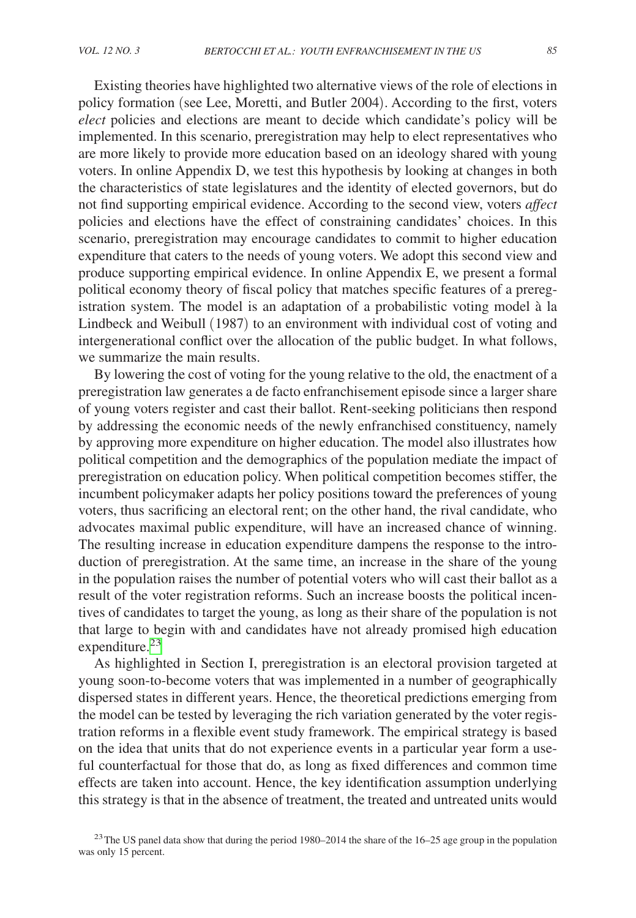Existing theories have highlighted two alternative views of the role of elections in policy formation (see Lee, Moretti, and Butler 2004). According to the first, voters *elect* policies and elections are meant to decide which candidate's policy will be implemented. In this scenario, preregistration may help to elect representatives who are more likely to provide more education based on an ideology shared with young voters. In online Appendix D, we test this hypothesis by looking at changes in both the characteristics of state legislatures and the identity of elected governors, but do not find supporting empirical evidence. According to the second view, voters *affect*  policies and elections have the effect of constraining candidates' choices. In this scenario, preregistration may encourage candidates to commit to higher education expenditure that caters to the needs of young voters. We adopt this second view and produce supporting empirical evidence. In online Appendix E, we present a formal political economy theory of fiscal policy that matches specific features of a preregistration system. The model is an adaptation of a probabilistic voting model à la Lindbeck and Weibull (1987) to an environment with individual cost of voting and intergenerational conflict over the allocation of the public budget. In what follows, we summarize the main results.

By lowering the cost of voting for the young relative to the old, the enactment of a preregistration law generates a de facto enfranchisement episode since a larger share of young voters register and cast their ballot. Rent-seeking politicians then respond by addressing the economic needs of the newly enfranchised constituency, namely by approving more expenditure on higher education. The model also illustrates how political competition and the demographics of the population mediate the impact of preregistration on education policy. When political competition becomes stiffer, the incumbent policymaker adapts her policy positions toward the preferences of young voters, thus sacrificing an electoral rent; on the other hand, the rival candidate, who advocates maximal public expenditure, will have an increased chance of winning. The resulting increase in education expenditure dampens the response to the introduction of preregistration. At the same time, an increase in the share of the young in the population raises the number of potential voters who will cast their ballot as a result of the voter registration reforms. Such an increase boosts the political incentives of candidates to target the young, as long as their share of the population is not that large to begin with and candidates have not already promised high education expenditure.<sup>[23](#page-9-0)</sup>

As highlighted in Section I, preregistration is an electoral provision targeted at young soon-to-become voters that was implemented in a number of geographically dispersed states in different years. Hence, the theoretical predictions emerging from the model can be tested by leveraging the rich variation generated by the voter registration reforms in a flexible event study framework. The empirical strategy is based on the idea that units that do not experience events in a particular year form a useful counterfactual for those that do, as long as fixed differences and common time effects are taken into account. Hence, the key identification assumption underlying this strategy is that in the absence of treatment, the treated and untreated units would

<span id="page-9-0"></span><sup>&</sup>lt;sup>23</sup>The US panel data show that during the period 1980–2014 the share of the  $16-25$  age group in the population was only 15 percent.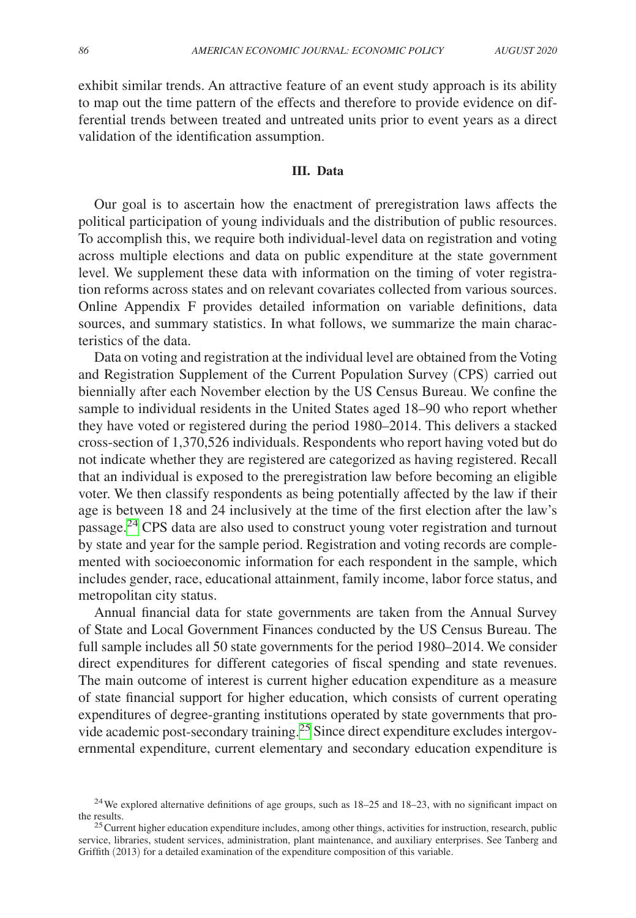exhibit similar trends. An attractive feature of an event study approach is its ability to map out the time pattern of the effects and therefore to provide evidence on differential trends between treated and untreated units prior to event years as a direct validation of the identification assumption.

#### **III. Data**

Our goal is to ascertain how the enactment of preregistration laws affects the political participation of young individuals and the distribution of public resources. To accomplish this, we require both individual-level data on registration and voting across multiple elections and data on public expenditure at the state government level. We supplement these data with information on the timing of voter registration reforms across states and on relevant covariates collected from various sources. Online Appendix F provides detailed information on variable definitions, data sources, and summary statistics. In what follows, we summarize the main characteristics of the data.

Data on voting and registration at the individual level are obtained from the Voting and Registration Supplement of the Current Population Survey (CPS) carried out biennially after each November election by the US Census Bureau. We confine the sample to individual residents in the United States aged 18–90 who report whether they have voted or registered during the period 1980–2014. This delivers a stacked cross-section of 1,370,526 individuals. Respondents who report having voted but do not indicate whether they are registered are categorized as having registered. Recall that an individual is exposed to the preregistration law before becoming an eligible voter. We then classify respondents as being potentially affected by the law if their age is between 18 and 24 inclusively at the time of the first election after the law's passage.[24](#page-10-0) CPS data are also used to construct young voter registration and turnout by state and year for the sample period. Registration and voting records are complemented with socioeconomic information for each respondent in the sample, which includes gender, race, educational attainment, family income, labor force status, and metropolitan city status.

Annual financial data for state governments are taken from the Annual Survey of State and Local Government Finances conducted by the US Census Bureau. The full sample includes all 50 state governments for the period 1980–2014. We consider direct expenditures for different categories of fiscal spending and state revenues. The main outcome of interest is current higher education expenditure as a measure of state financial support for higher education, which consists of current operating expenditures of degree-granting institutions operated by state governments that provide academic post-secondary training.[25](#page-10-1) Since direct expenditure excludes intergovernmental expenditure, current elementary and secondary education expenditure is

<span id="page-10-0"></span><sup>&</sup>lt;sup>24</sup>We explored alternative definitions of age groups, such as  $18-25$  and  $18-23$ , with no significant impact on the results.<br><sup>25</sup> Current higher education expenditure includes, among other things, activities for instruction, research, public

<span id="page-10-1"></span>service, libraries, student services, administration, plant maintenance, and auxiliary enterprises. See Tanberg and Griffith (2013) for a detailed examination of the expenditure composition of this variable.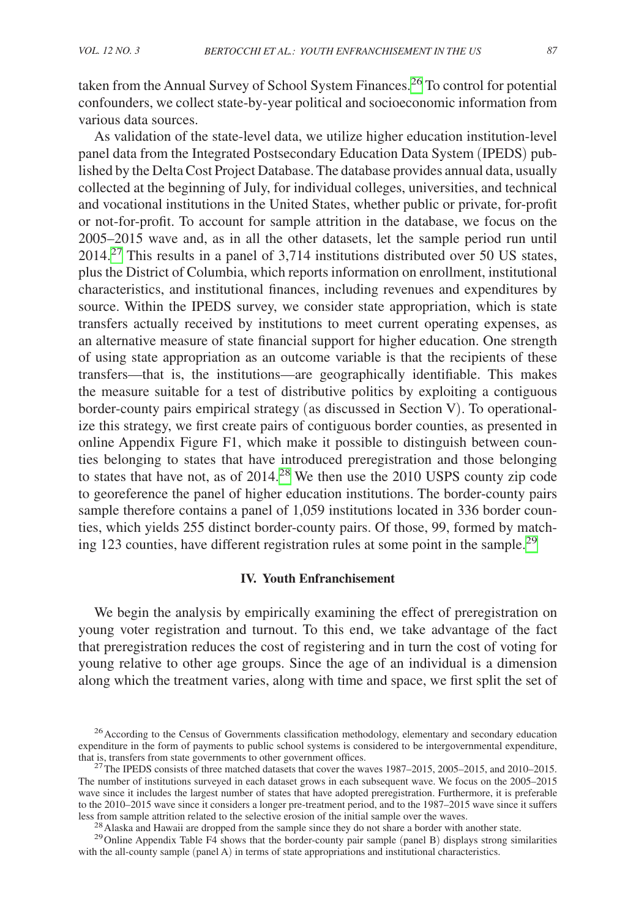taken from the Annual Survey of School System Finances.[26](#page-11-0) To control for potential confounders, we collect state-by-year political and socioeconomic information from various data sources.

As validation of the state-level data, we utilize higher education institution-level panel data from the Integrated Postsecondary Education Data System (IPEDS) published by the Delta Cost Project Database. The database provides annual data, usually collected at the beginning of July, for individual colleges, universities, and technical and vocational institutions in the United States, whether public or private, for-profit or not-for-profit. To account for sample attrition in the database, we focus on the 2005–2015 wave and, as in all the other datasets, let the sample period run until  $2014<sup>27</sup>$  This results in a panel of 3,714 institutions distributed over 50 US states, plus the District of Columbia, which reports information on enrollment, institutional characteristics, and institutional finances, including revenues and expenditures by source. Within the IPEDS survey, we consider state appropriation, which is state transfers actually received by institutions to meet current operating expenses, as an alternative measure of state financial support for higher education. One strength of using state appropriation as an outcome variable is that the recipients of these transfers—that is, the institutions—are geographically identifiable. This makes the measure suitable for a test of distributive politics by exploiting a contiguous border-county pairs empirical strategy (as discussed in Section V). To operationalize this strategy, we first create pairs of contiguous border counties, as presented in online Appendix Figure F1, which make it possible to distinguish between counties belonging to states that have introduced preregistration and those belonging to states that have not, as of 2014.[28](#page-11-2) We then use the 2010 USPS county zip code to georeference the panel of higher education institutions. The border-county pairs sample therefore contains a panel of 1,059 institutions located in 336 border counties, which yields 255 distinct border-county pairs. Of those, 99, formed by matching 123 counties, have different registration rules at some point in the sample.[29](#page-11-3)

#### **IV. Youth Enfranchisement**

We begin the analysis by empirically examining the effect of preregistration on young voter registration and turnout. To this end, we take advantage of the fact that preregistration reduces the cost of registering and in turn the cost of voting for young relative to other age groups. Since the age of an individual is a dimension along which the treatment varies, along with time and space, we first split the set of

<span id="page-11-0"></span><sup>&</sup>lt;sup>26</sup> According to the Census of Governments classification methodology, elementary and secondary education expenditure in the form of payments to public school systems is considered to be intergovernmental expenditure, that is, transfers from state governments to other government offices.

<span id="page-11-1"></span><sup>&</sup>lt;sup>27</sup>The IPEDS consists of three matched datasets that cover the waves  $1987-2015$ ,  $2005-2015$ , and  $2010-2015$ . The number of institutions surveyed in each dataset grows in each subsequent wave. We focus on the 2005–2015 wave since it includes the largest number of states that have adopted preregistration. Furthermore, it is preferable to the 2010–2015 wave since it considers a longer pre-treatment period, and to the 1987–2015 wave since it suffers less from sample attrition related to the selective erosion of the initial sample over the waves.<br><sup>28</sup> Alaska and Hawaii are dropped from the sample since they do not share a border with another state.<br><sup>29</sup> Online Appendix

<span id="page-11-3"></span><span id="page-11-2"></span>

with the all-county sample (panel A) in terms of state appropriations and institutional characteristics.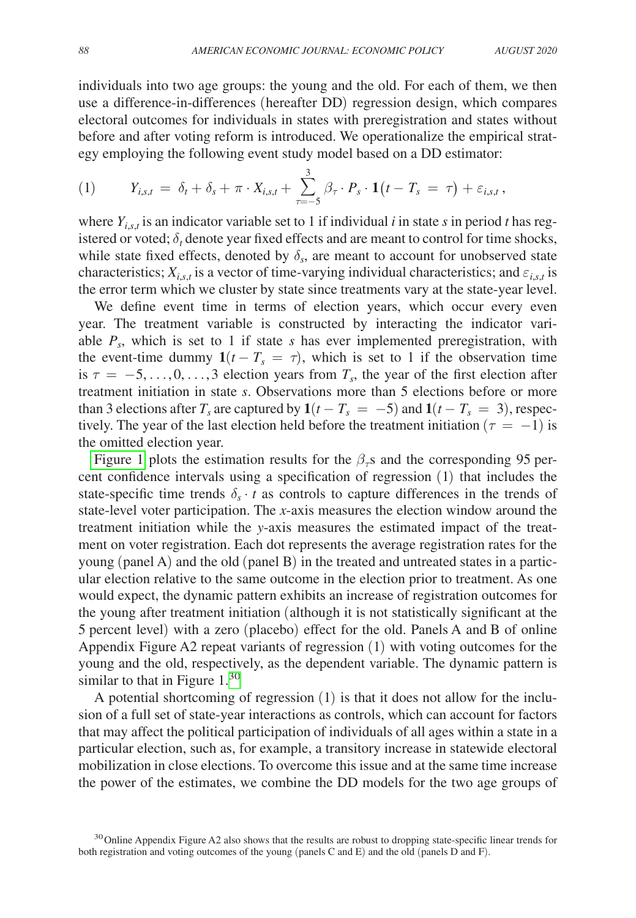individuals into two age groups: the young and the old. For each of them, we then use a difference-in-differences (hereafter DD) regression design, which compares electoral outcomes for individuals in states with preregistration and states without before and after voting reform is introduced. We operationalize the empirical strategy employing the following event study model based on a DD estimator:

(1) 
$$
Y_{i,s,t} = \delta_t + \delta_s + \pi \cdot X_{i,s,t} + \sum_{\tau=-5}^{3} \beta_{\tau} \cdot P_s \cdot \mathbf{1}(t - T_s = \tau) + \varepsilon_{i,s,t},
$$

where  $Y_{i,s,t}$  is an indicator variable set to 1 if individual *i* in state *s* in period *t* has registered or voted;  $\delta_t$  denote year fixed effects and are meant to control for time shocks, while state fixed effects, denoted by  $\delta_{\rm s}$ , are meant to account for unobserved state characteristics;  $X_{i,s,t}$  is a vector of time-varying individual characteristics; and  $\varepsilon_{i,s,t}$  is the error term which we cluster by state since treatments vary at the state-year level.

We define event time in terms of election years, which occur every even year. The treatment variable is constructed by interacting the indicator variable  $P_s$ , which is set to 1 if state *s* has ever implemented preregistration, with the event-time dummy  $1(t - T_s = \tau)$ , which is set to 1 if the observation time is  $\tau = -5, \ldots, 0, \ldots, 3$  election years from  $T_s$ , the year of the first election after treatment initiation in state *s*. Observations more than 5 elections before or more than 3 elections after  $T_s$  are captured by  $1(t - T_s = -5)$  and  $1(t - T_s = 3)$ , respectively. The year of the last election held before the treatment initiation ( $\tau = -1$ ) is the omitted election year.

[Figure 1](#page-13-0) plots the estimation results for the  $\beta<sub>\tau</sub>$  and the corresponding 95 percent confidence intervals using a specification of regression (1) that includes the state-specific time trends  $\delta_s \cdot t$  as controls to capture differences in the trends of state-level voter participation. The *x*-axis measures the election window around the treatment initiation while the *y*-axis measures the estimated impact of the treatment on voter registration. Each dot represents the average registration rates for the young (panel A) and the old (panel B) in the treated and untreated states in a particular election relative to the same outcome in the election prior to treatment. As one would expect, the dynamic pattern exhibits an increase of registration outcomes for the young after treatment initiation (although it is not statistically significant at the 5 percent level) with a zero (placebo) effect for the old. Panels A and B of online Appendix Figure A2 repeat variants of regression (1) with voting outcomes for the young and the old, respectively, as the dependent variable. The dynamic pattern is similar to that in Figure  $1<sup>30</sup>$  $1<sup>30</sup>$  $1<sup>30</sup>$ 

A potential shortcoming of regression (1) is that it does not allow for the inclusion of a full set of state-year interactions as controls, which can account for factors that may affect the political participation of individuals of all ages within a state in a particular election, such as, for example, a transitory increase in statewide electoral mobilization in close elections. To overcome this issue and at the same time increase the power of the estimates, we combine the DD models for the two age groups of

<span id="page-12-0"></span><sup>&</sup>lt;sup>30</sup> Online Appendix Figure A2 also shows that the results are robust to dropping state-specific linear trends for both registration and voting outcomes of the young (panels C and E) and the old (panels D and F).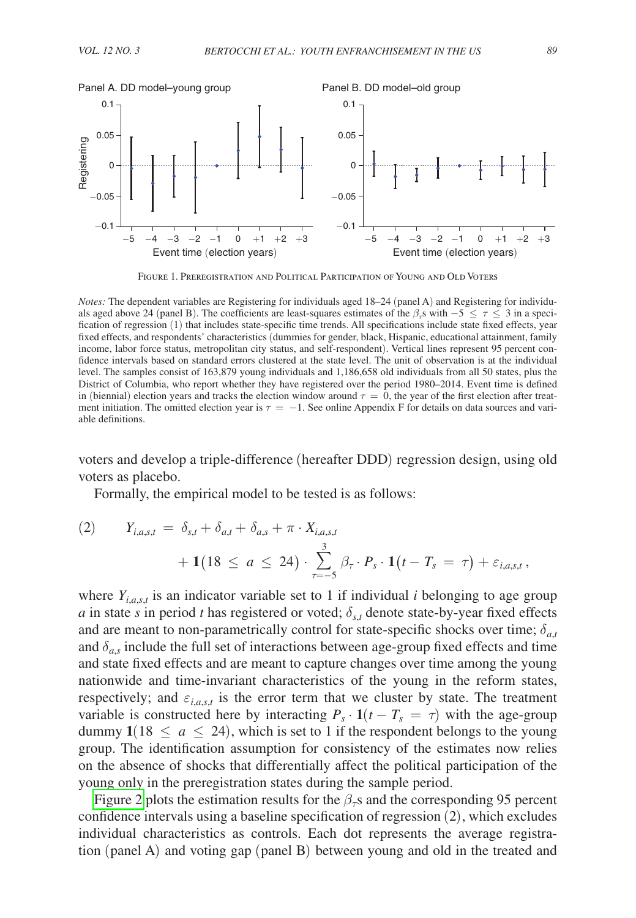<span id="page-13-0"></span>

Figure 1. Preregistration and Political Participation of Young and Old Voters

*Notes:* The dependent variables are Registering for individuals aged 18–24 (panel A) and Registering for individuals aged above 24 (panel B). The coefficients are least-squares estimates of the  $\beta_{\tau}$ s with −5  $\leq \tau \leq 3$  in a specification of regression (1) that includes state-specific time trends. All specifications include state fixed effects, year fixed effects, and respondents' characteristics (dummies for gender, black, Hispanic, educational attainment, family income, labor force status, metropolitan city status, and self-respondent). Vertical lines represent 95 percent confidence intervals based on standard errors clustered at the state level. The unit of observation is at the individual level. The samples consist of 163,879 young individuals and 1,186,658 old individuals from all 50 states, plus the District of Columbia, who report whether they have registered over the period 1980–2014. Event time is defined in (biennial) election years and tracks the election window around  $\tau = 0$ , the year of the first election after treatment initiation. The omitted election year is  $\tau = -1$ . See online Appendix F for details on data sources and variable definitions.

voters and develop a triple-difference (hereafter DDD) regression design, using old voters as placebo.

Formally, the empirical model to be tested is as follows:

(2) 
$$
Y_{i,a,s,t} = \delta_{s,t} + \delta_{a,t} + \delta_{a,s} + \pi \cdot X_{i,a,s,t} + 1(18 \le a \le 24) \cdot \sum_{\tau=-5}^{3} \beta_{\tau} \cdot P_s \cdot 1(t - T_s = \tau) + \varepsilon_{i,a,s,t},
$$

where  $Y_{i,a,s,t}$  is an indicator variable set to 1 if individual *i* belonging to age group *a* in state *s* in period *t* has registered or voted;  $\delta_{s,t}$  denote state-by-year fixed effects and are meant to non-parametrically control for state-specific shocks over time;  $\delta_{a,t}$ and  $\delta_{a}$ , include the full set of interactions between age-group fixed effects and time and state fixed effects and are meant to capture changes over time among the young nationwide and time-invariant characteristics of the young in the reform states, respectively; and  $\varepsilon_{i,a,s,t}$  is the error term that we cluster by state. The treatment variable is constructed here by interacting  $P_s \cdot \mathbf{1}(t - T_s = \tau)$  with the age-group dummy  $1(18 \le a \le 24)$ , which is set to 1 if the respondent belongs to the young group. The identification assumption for consistency of the estimates now relies on the absence of shocks that differentially affect the political participation of the young only in the preregistration states during the sample period.

[Figure 2](#page-14-0) plots the estimation results for the  $\beta<sub>τ</sub>$ s and the corresponding 95 percent confidence intervals using a baseline specification of regression (2), which excludes individual characteristics as controls. Each dot represents the average registration (panel A) and voting gap (panel B) between young and old in the treated and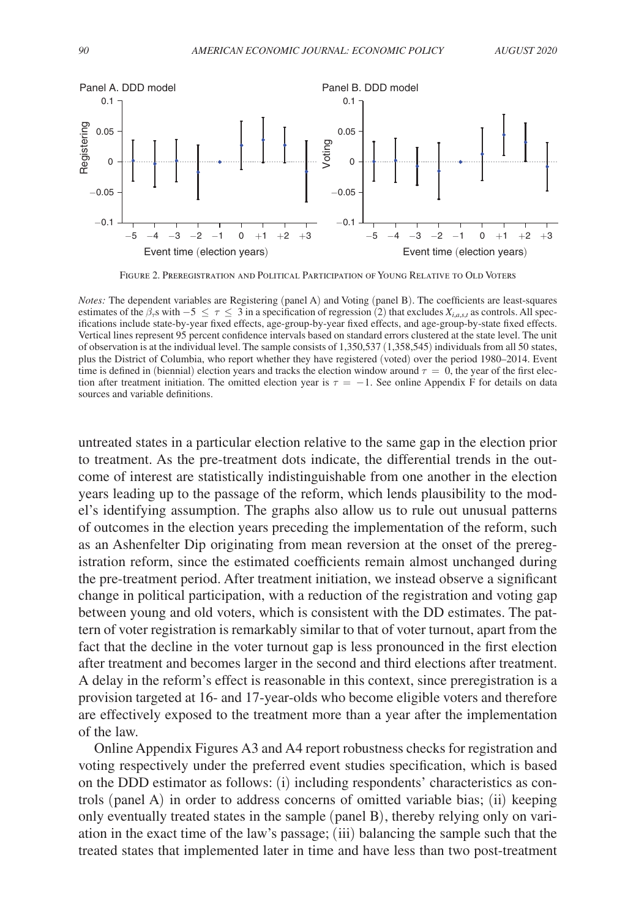<span id="page-14-0"></span>

Figure 2. Preregistration and Political Participation of Young Relative to Old Voters

*Notes:* The dependent variables are Registering (panel A) and Voting (panel B). The coefficients are least-squares estimates of the  $\beta_7$ s with  $-5 \leq \tau \leq 3$  in a specification of regression (2) that excludes  $X_{i,a,s,t}$  as controls. All specifications include state-by-year fixed effects, age-group-by-year fixed effects, and age-group-by-state fixed effects. Vertical lines represent 95 percent confidence intervals based on standard errors clustered at the state level. The unit of observation is at the individual level. The sample consists of 1,350,537 (1,358,545) individuals from all 50 states, plus the District of Columbia, who report whether they have registered (voted) over the period 1980–2014. Event time is defined in (biennial) election years and tracks the election window around  $\tau = 0$ , the year of the first election after treatment initiation. The omitted election year is  $\tau = -1$ . See online Appendix F for details on data sources and variable definitions.

untreated states in a particular election relative to the same gap in the election prior to treatment. As the pre-treatment dots indicate, the differential trends in the outcome of interest are statistically indistinguishable from one another in the election years leading up to the passage of the reform, which lends plausibility to the model's identifying assumption. The graphs also allow us to rule out unusual patterns of outcomes in the election years preceding the implementation of the reform, such as an Ashenfelter Dip originating from mean reversion at the onset of the preregistration reform, since the estimated coefficients remain almost unchanged during the pre-treatment period. After treatment initiation, we instead observe a significant change in political participation, with a reduction of the registration and voting gap between young and old voters, which is consistent with the DD estimates. The pattern of voter registration is remarkably similar to that of voter turnout, apart from the fact that the decline in the voter turnout gap is less pronounced in the first election after treatment and becomes larger in the second and third elections after treatment. A delay in the reform's effect is reasonable in this context, since preregistration is a provision targeted at 16- and 17-year-olds who become eligible voters and therefore are effectively exposed to the treatment more than a year after the implementation of the law.

Online Appendix Figures A3 and A4 report robustness checks for registration and voting respectively under the preferred event studies specification, which is based on the DDD estimator as follows: (i) including respondents' characteristics as controls (panel A) in order to address concerns of omitted variable bias; (ii) keeping only eventually treated states in the sample (panel B), thereby relying only on variation in the exact time of the law's passage; (iii) balancing the sample such that the treated states that implemented later in time and have less than two post-treatment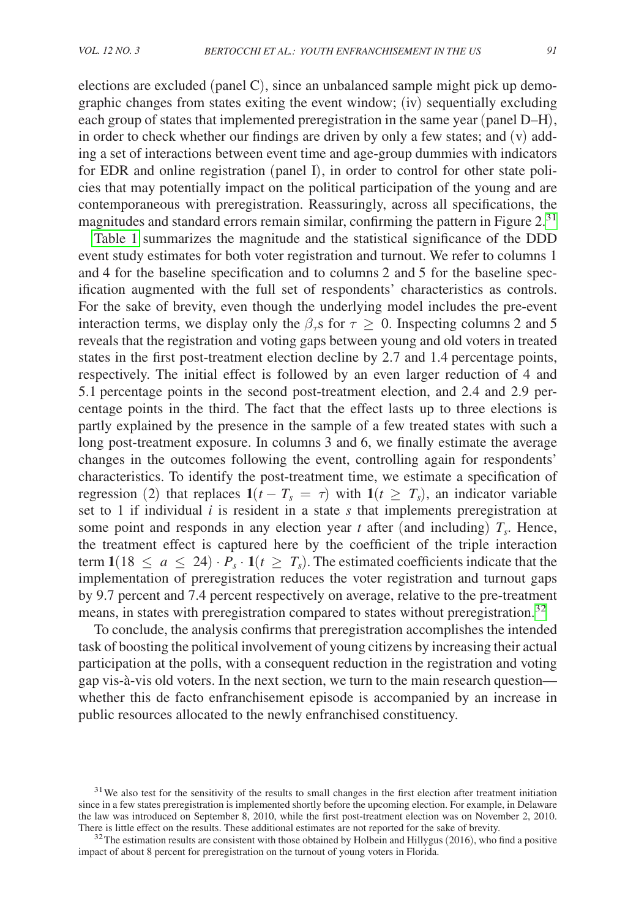elections are excluded (panel C), since an unbalanced sample might pick up demographic changes from states exiting the event window; (iv) sequentially excluding each group of states that implemented preregistration in the same year (panel D–H), in order to check whether our findings are driven by only a few states; and (v) adding a set of interactions between event time and age-group dummies with indicators for EDR and online registration (panel I), in order to control for other state policies that may potentially impact on the political participation of the young and are contemporaneous with preregistration. Reassuringly, across all specifications, the magnitudes and standard errors remain similar, confirming the pattern in Figure  $2<sup>31</sup>$ 

[Table 1](#page-16-0) summarizes the magnitude and the statistical significance of the DDD event study estimates for both voter registration and turnout. We refer to columns 1 and 4 for the baseline specification and to columns 2 and 5 for the baseline specification augmented with the full set of respondents' characteristics as controls. For the sake of brevity, even though the underlying model includes the pre-event interaction terms, we display only the  $\beta_{\tau}$ s for  $\tau \geq 0$ . Inspecting columns 2 and 5 reveals that the registration and voting gaps between young and old voters in treated states in the first post-treatment election decline by 2.7 and 1.4 percentage points, respectively. The initial effect is followed by an even larger reduction of 4 and 5.1 percentage points in the second post-treatment election, and 2.4 and 2.9 percentage points in the third. The fact that the effect lasts up to three elections is partly explained by the presence in the sample of a few treated states with such a long post-treatment exposure. In columns 3 and 6, we finally estimate the average changes in the outcomes following the event, controlling again for respondents' characteristics. To identify the post-treatment time, we estimate a specification of regression (2) that replaces  $1(t - T_s = \tau)$  with  $1(t \geq T_s)$ , an indicator variable set to 1 if individual *i* is resident in a state *s* that implements preregistration at some point and responds in any election year  $t$  after (and including)  $T_s$ . Hence, the treatment effect is captured here by the coefficient of the triple interaction term  $1(18 \le a \le 24) \cdot P_s \cdot 1(t \ge T_s)$ . The estimated coefficients indicate that the implementation of preregistration reduces the voter registration and turnout gaps by 9.7 percent and 7.4 percent respectively on average, relative to the pre-treatment means, in states with preregistration compared to states without preregistration.[32](#page-15-1)

To conclude, the analysis confirms that preregistration accomplishes the intended task of boosting the political involvement of young citizens by increasing their actual participation at the polls, with a consequent reduction in the registration and voting gap vis-à-vis old voters. In the next section, we turn to the main research question whether this de facto enfranchisement episode is accompanied by an increase in public resources allocated to the newly enfranchised constituency.

<span id="page-15-0"></span><sup>&</sup>lt;sup>31</sup>We also test for the sensitivity of the results to small changes in the first election after treatment initiation since in a few states preregistration is implemented shortly before the upcoming election. For example, in Delaware the law was introduced on September 8, 2010, while the first post-treatment election was on November 2, 2010.<br>There is little effect on the results. These additional estimates are not reported for the sake of brevity.

<span id="page-15-1"></span> $32$  The estimation results are consistent with those obtained by Holbein and Hillygus (2016), who find a positive impact of about 8 percent for preregistration on the turnout of young voters in Florida.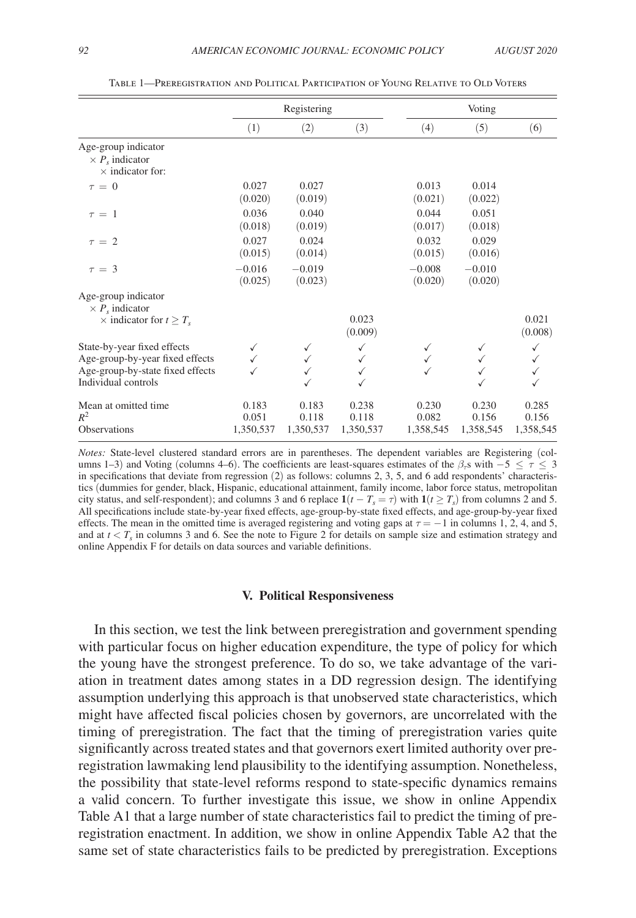<span id="page-16-0"></span>

|                                                                                                                           | Registering                 |                             |                                        |                             | Voting                      |                             |  |
|---------------------------------------------------------------------------------------------------------------------------|-----------------------------|-----------------------------|----------------------------------------|-----------------------------|-----------------------------|-----------------------------|--|
|                                                                                                                           | (1)                         | (2)                         | (3)                                    | (4)                         | (5)                         | (6)                         |  |
| Age-group indicator<br>$\times P_s$ indicator<br>$\times$ indicator for:                                                  |                             |                             |                                        |                             |                             |                             |  |
| $\tau = 0$                                                                                                                | 0.027<br>(0.020)            | 0.027<br>(0.019)            |                                        | 0.013<br>(0.021)            | 0.014<br>(0.022)            |                             |  |
| $\tau = 1$                                                                                                                | 0.036<br>(0.018)            | 0.040<br>(0.019)            |                                        | 0.044<br>(0.017)            | 0.051<br>(0.018)            |                             |  |
| $\tau = 2$                                                                                                                | 0.027<br>(0.015)            | 0.024<br>(0.014)            |                                        | 0.032<br>(0.015)            | 0.029<br>(0.016)            |                             |  |
| $\tau = 3$                                                                                                                | $-0.016$<br>(0.025)         | $-0.019$<br>(0.023)         |                                        | $-0.008$<br>(0.020)         | $-0.010$<br>(0.020)         |                             |  |
| Age-group indicator<br>$\times P_s$ indicator                                                                             |                             |                             |                                        |                             |                             |                             |  |
| $\times$ indicator for $t \geq T_s$                                                                                       |                             |                             | 0.023<br>(0.009)                       |                             |                             | 0.021<br>(0.008)            |  |
| State-by-year fixed effects<br>Age-group-by-year fixed effects<br>Age-group-by-state fixed effects<br>Individual controls |                             | ✓                           | ✓<br>$\checkmark$<br>✓<br>$\checkmark$ | ✓                           | $\checkmark$                | ✓                           |  |
| Mean at omitted time<br>$R^2$<br><b>Observations</b>                                                                      | 0.183<br>0.051<br>1,350,537 | 0.183<br>0.118<br>1,350,537 | 0.238<br>0.118<br>1,350,537            | 0.230<br>0.082<br>1,358,545 | 0.230<br>0.156<br>1,358,545 | 0.285<br>0.156<br>1,358,545 |  |

Table 1—Preregistration and Political Participation of Young Relative to Old Voters

*Notes:* State-level clustered standard errors are in parentheses. The dependent variables are Registering (columns 1–3) and Voting (columns 4–6). The coefficients are least-squares estimates of the  $\beta_7$ s with −5 <  $\tau$  < 3 in specifications that deviate from regression (2) as follows: columns 2, 3, 5, and 6 add respondents' characteristics (dummies for gender, black, Hispanic, educational attainment, family income, labor force status, metropolitan city status, and self-respondent); and columns 3 and 6 replace  $\mathbf{1}(t - T_s = \tau)$  with  $\mathbf{1}(t \ge T_s)$  from columns 2 and 5. All specifications include state-by-year fixed effects, age-group-by-state fixed effects, and age-group-by-year fixed effects. The mean in the omitted time is averaged registering and voting gaps at  $\tau = -1$  in columns 1, 2, 4, and 5, and at  $t < T_s$  in columns 3 and 6. See the note to Figure 2 for details on sample size and estimation strategy and online Appendix F for details on data sources and variable definitions.

#### **V. Political Responsiveness**

In this section, we test the link between preregistration and government spending with particular focus on higher education expenditure, the type of policy for which the young have the strongest preference. To do so, we take advantage of the variation in treatment dates among states in a DD regression design. The identifying assumption underlying this approach is that unobserved state characteristics, which might have affected fiscal policies chosen by governors, are uncorrelated with the timing of preregistration. The fact that the timing of preregistration varies quite significantly across treated states and that governors exert limited authority over preregistration lawmaking lend plausibility to the identifying assumption. Nonetheless, the possibility that state-level reforms respond to state-specific dynamics remains a valid concern. To further investigate this issue, we show in online Appendix Table A1 that a large number of state characteristics fail to predict the timing of preregistration enactment. In addition, we show in online Appendix Table A2 that the same set of state characteristics fails to be predicted by preregistration. Exceptions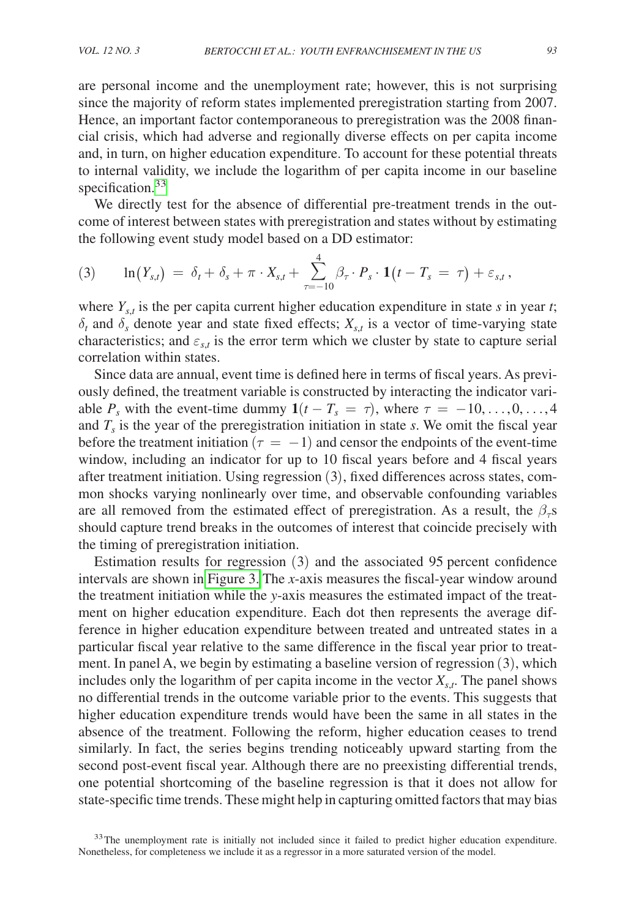are personal income and the unemployment rate; however, this is not surprising since the majority of reform states implemented preregistration starting from 2007. Hence, an important factor contemporaneous to preregistration was the 2008 financial crisis, which had adverse and regionally diverse effects on per capita income and, in turn, on higher education expenditure. To account for these potential threats to internal validity, we include the logarithm of per capita income in our baseline specification.<sup>33</sup>

We directly test for the absence of differential pre-treatment trends in the outcome of interest between states with preregistration and states without by estimating the following event study model based on a DD estimator:

(3) 
$$
\ln(Y_{s,t}) = \delta_t + \delta_s + \pi \cdot X_{s,t} + \sum_{\tau=-10}^{4} \beta_{\tau} \cdot P_s \cdot \mathbf{1}(t - T_s = \tau) + \varepsilon_{s,t}
$$

where  $Y_{s,t}$  is the per capita current higher education expenditure in state *s* in year *t*;  $\delta_t$  and  $\delta_s$  denote year and state fixed effects;  $X_{s,t}$  is a vector of time-varying state characteristics; and  $\varepsilon_{s,t}$  is the error term which we cluster by state to capture serial correlation within states.

Since data are annual, event time is defined here in terms of fiscal years. As previously defined, the treatment variable is constructed by interacting the indicator variable  $P_s$  with the event-time dummy  $1(t - T_s = \tau)$ , where  $\tau = -10, \ldots, 0, \ldots, 4$ and  $T<sub>s</sub>$  is the year of the preregistration initiation in state *s*. We omit the fiscal year before the treatment initiation ( $\tau = -1$ ) and censor the endpoints of the event-time window, including an indicator for up to 10 fiscal years before and 4 fiscal years after treatment initiation. Using regression (3), fixed differences across states, common shocks varying nonlinearly over time, and observable confounding variables are all removed from the estimated effect of preregistration. As a result, the  $\beta_{\tau}$ s should capture trend breaks in the outcomes of interest that coincide precisely with the timing of preregistration initiation.

Estimation results for regression (3) and the associated 95 percent confidence intervals are shown in [Figure 3.](#page-18-0) The *x*-axis measures the fiscal-year window around the treatment initiation while the *y*-axis measures the estimated impact of the treatment on higher education expenditure. Each dot then represents the average difference in higher education expenditure between treated and untreated states in a particular fiscal year relative to the same difference in the fiscal year prior to treatment. In panel A, we begin by estimating a baseline version of regression (3), which includes only the logarithm of per capita income in the vector  $X_{s,t}$ . The panel shows no differential trends in the outcome variable prior to the events. This suggests that higher education expenditure trends would have been the same in all states in the absence of the treatment. Following the reform, higher education ceases to trend similarly. In fact, the series begins trending noticeably upward starting from the second post-event fiscal year. Although there are no preexisting differential trends, one potential shortcoming of the baseline regression is that it does not allow for state-specific time trends. These might help in capturing omitted factors that may bias

<span id="page-17-0"></span><sup>33</sup>The unemployment rate is initially not included since it failed to predict higher education expenditure. Nonetheless, for completeness we include it as a regressor in a more saturated version of the model.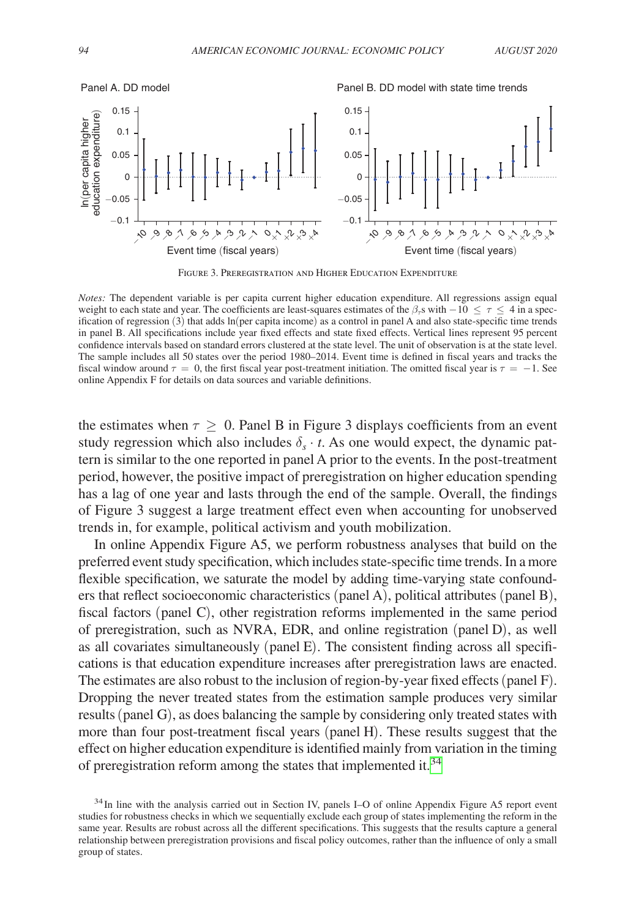<span id="page-18-0"></span>

Figure 3. Preregistration and Higher Education Expenditure

*Notes:* The dependent variable is per capita current higher education expenditure. All regressions assign equal weight to each state and year. The coefficients are least-squares estimates of the  $\beta_r s$  with  $-10 \leq \tau \leq 4$  in a specification of regression (3) that adds ln(per capita income) as a control in panel A and also state-specific time trends in panel B. All specifications include year fixed effects and state fixed effects. Vertical lines represent 95 percent confidence intervals based on standard errors clustered at the state level. The unit of observation is at the state level. The sample includes all 50 states over the period 1980–2014. Event time is defined in fiscal years and tracks the fiscal window around  $\tau = 0$ , the first fiscal year post-treatment initiation. The omitted fiscal year is  $\tau = -1$ . See online Appendix F for details on data sources and variable definitions.

the estimates when  $\tau \geq 0$ . Panel B in Figure 3 displays coefficients from an event study regression which also includes  $\delta_s \cdot t$ . As one would expect, the dynamic pattern is similar to the one reported in panel A prior to the events. In the post-treatment period, however, the positive impact of preregistration on higher education spending has a lag of one year and lasts through the end of the sample. Overall, the findings of Figure 3 suggest a large treatment effect even when accounting for unobserved trends in, for example, political activism and youth mobilization.

In online Appendix Figure A5, we perform robustness analyses that build on the preferred event study specification, which includes state-specific time trends. In a more flexible specification, we saturate the model by adding time-varying state confounders that reflect socioeconomic characteristics (panel A), political attributes (panel B), fiscal factors (panel C), other registration reforms implemented in the same period of preregistration, such as NVRA, EDR, and online registration (panel D), as well as all covariates simultaneously (panel E). The consistent finding across all specifications is that education expenditure increases after preregistration laws are enacted. The estimates are also robust to the inclusion of region-by-year fixed effects (panel F). Dropping the never treated states from the estimation sample produces very similar results (panel G), as does balancing the sample by considering only treated states with more than four post-treatment fiscal years (panel H). These results suggest that the effect on higher education expenditure is identified mainly from variation in the timing of preregistration reform among the states that implemented it.<sup>[34](#page-18-1)</sup>

<span id="page-18-1"></span><sup>&</sup>lt;sup>34</sup>In line with the analysis carried out in Section IV, panels I–O of online Appendix Figure A5 report event studies for robustness checks in which we sequentially exclude each group of states implementing the reform in the same year. Results are robust across all the different specifications. This suggests that the results capture a general relationship between preregistration provisions and fiscal policy outcomes, rather than the influence of only a small group of states.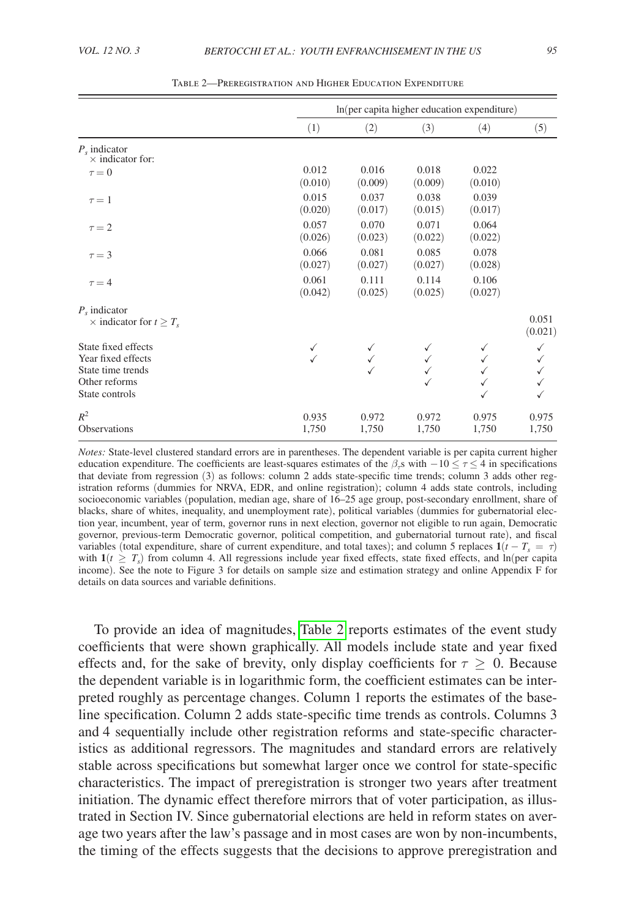<span id="page-19-0"></span>

|                                                                                                   | In(per capita higher education expenditure) |                  |                  |                  |                  |  |
|---------------------------------------------------------------------------------------------------|---------------------------------------------|------------------|------------------|------------------|------------------|--|
|                                                                                                   | (1)                                         | (2)              | (3)              | (4)              | (5)              |  |
| $P_{s}$ indicator<br>$\times$ indicator for:                                                      |                                             |                  |                  |                  |                  |  |
| $\tau = 0$                                                                                        | 0.012<br>(0.010)                            | 0.016<br>(0.009) | 0.018<br>(0.009) | 0.022<br>(0.010) |                  |  |
| $\tau = 1$                                                                                        | 0.015<br>(0.020)                            | 0.037<br>(0.017) | 0.038<br>(0.015) | 0.039<br>(0.017) |                  |  |
| $\tau = 2$                                                                                        | 0.057<br>(0.026)                            | 0.070<br>(0.023) | 0.071<br>(0.022) | 0.064<br>(0.022) |                  |  |
| $\tau = 3$                                                                                        | 0.066<br>(0.027)                            | 0.081<br>(0.027) | 0.085<br>(0.027) | 0.078<br>(0.028) |                  |  |
| $\tau = 4$                                                                                        | 0.061<br>(0.042)                            | 0.111<br>(0.025) | 0.114<br>(0.025) | 0.106<br>(0.027) |                  |  |
| $P_{s}$ indicator<br>$\times$ indicator for $t \geq T_s$                                          |                                             |                  |                  |                  | 0.051<br>(0.021) |  |
| State fixed effects<br>Year fixed effects<br>State time trends<br>Other reforms<br>State controls | ✓                                           |                  |                  | ✓                | ✓                |  |
| $R^2$<br><b>Observations</b>                                                                      | 0.935<br>1,750                              | 0.972<br>1,750   | 0.972<br>1,750   | 0.975<br>1,750   | 0.975<br>1,750   |  |

Table 2—Preregistration and Higher Education Expenditure

*Notes:* State-level clustered standard errors are in parentheses. The dependent variable is per capita current higher education expenditure. The coefficients are least-squares estimates of the  $\beta_r$ s with  $-10 \le \tau \le 4$  in specifications that deviate from regression (3) as follows: column 2 adds state-specific time trends; column 3 adds other registration reforms (dummies for NRVA, EDR, and online registration); column 4 adds state controls, including socioeconomic variables (population, median age, share of 16–25 age group, post-secondary enrollment, share of blacks, share of whites, inequality, and unemployment rate), political variables (dummies for gubernatorial election year, incumbent, year of term, governor runs in next election, governor not eligible to run again, Democratic governor, previous-term Democratic governor, political competition, and gubernatorial turnout rate), and fiscal variables (total expenditure, share of current expenditure, and total taxes); and column 5 replaces  $\mathbf{1}(t - T_s = \tau)$ with  $\mathbf{1}(t \geq T_s)$  from column 4. All regressions include year fixed effects, state fixed effects, and ln(per capita income). See the note to Figure 3 for details on sample size and estimation strategy and online Appendix F for details on data sources and variable definitions.

To provide an idea of magnitudes, [Table 2](#page-19-0) reports estimates of the event study coefficients that were shown graphically. All models include state and year fixed effects and, for the sake of brevity, only display coefficients for  $\tau \geq 0$ . Because the dependent variable is in logarithmic form, the coefficient estimates can be interpreted roughly as percentage changes. Column 1 reports the estimates of the baseline specification. Column 2 adds state-specific time trends as controls. Columns 3 and 4 sequentially include other registration reforms and state-specific characteristics as additional regressors. The magnitudes and standard errors are relatively stable across specifications but somewhat larger once we control for state-specific characteristics. The impact of preregistration is stronger two years after treatment initiation. The dynamic effect therefore mirrors that of voter participation, as illustrated in Section IV. Since gubernatorial elections are held in reform states on average two years after the law's passage and in most cases are won by non-incumbents, the timing of the effects suggests that the decisions to approve preregistration and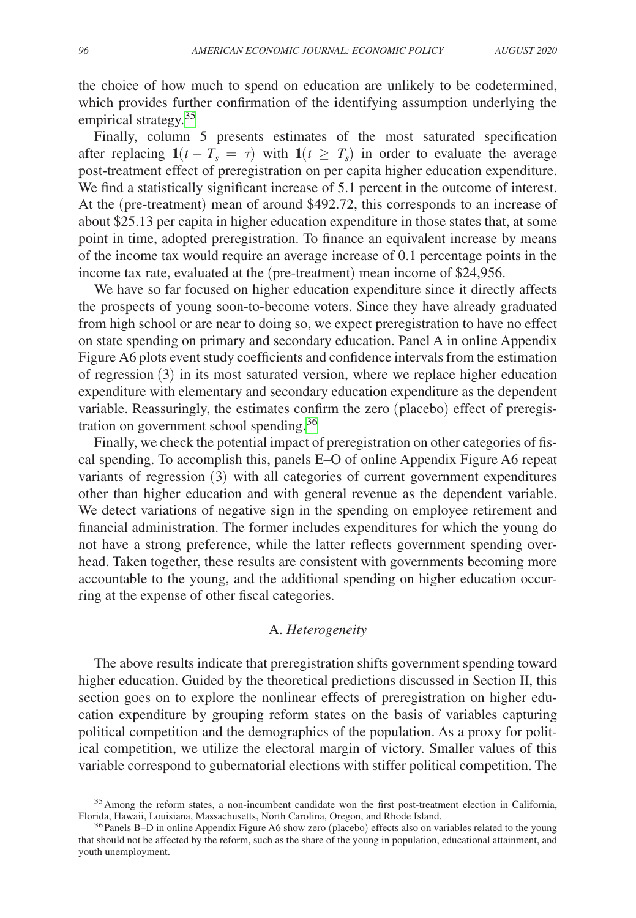the choice of how much to spend on education are unlikely to be codetermined, which provides further confirmation of the identifying assumption underlying the empirical strategy.<sup>[35](#page-20-0)</sup>

Finally, column 5 presents estimates of the most saturated specification after replacing  $1(t - T_s = \tau)$  with  $1(t \geq T_s)$  in order to evaluate the average post-treatment effect of preregistration on per capita higher education expenditure. We find a statistically significant increase of 5.1 percent in the outcome of interest. At the (pre-treatment) mean of around \$492.72, this corresponds to an increase of about \$25.13 per capita in higher education expenditure in those states that, at some point in time, adopted preregistration. To finance an equivalent increase by means of the income tax would require an average increase of 0.1 percentage points in the income tax rate, evaluated at the (pre-treatment) mean income of \$24,956.

We have so far focused on higher education expenditure since it directly affects the prospects of young soon-to-become voters. Since they have already graduated from high school or are near to doing so, we expect preregistration to have no effect on state spending on primary and secondary education. Panel A in online Appendix Figure A6 plots event study coefficients and confidence intervals from the estimation of regression (3) in its most saturated version, where we replace higher education expenditure with elementary and secondary education expenditure as the dependent variable. Reassuringly, the estimates confirm the zero (placebo) effect of preregistration on government school spending.[36](#page-20-1)

Finally, we check the potential impact of preregistration on other categories of fiscal spending. To accomplish this, panels E–O of online Appendix Figure A6 repeat variants of regression (3) with all categories of current government expenditures other than higher education and with general revenue as the dependent variable. We detect variations of negative sign in the spending on employee retirement and financial administration. The former includes expenditures for which the young do not have a strong preference, while the latter reflects government spending overhead. Taken together, these results are consistent with governments becoming more accountable to the young, and the additional spending on higher education occurring at the expense of other fiscal categories.

# A. *Heterogeneity*

The above results indicate that preregistration shifts government spending toward higher education. Guided by the theoretical predictions discussed in Section II, this section goes on to explore the nonlinear effects of preregistration on higher education expenditure by grouping reform states on the basis of variables capturing political competition and the demographics of the population. As a proxy for political competition, we utilize the electoral margin of victory. Smaller values of this variable correspond to gubernatorial elections with stiffer political competition. The

<span id="page-20-0"></span><sup>&</sup>lt;sup>35</sup> Among the reform states, a non-incumbent candidate won the first post-treatment election in California, Florida, Hawaii, Louisiana, Massachusetts, North Carolina, Oregon, and Rhode Island.

<span id="page-20-1"></span> $<sup>36</sup>$  Panels B–D in online Appendix Figure A6 show zero (placebo) effects also on variables related to the young</sup> that should not be affected by the reform, such as the share of the young in population, educational attainment, and youth unemployment.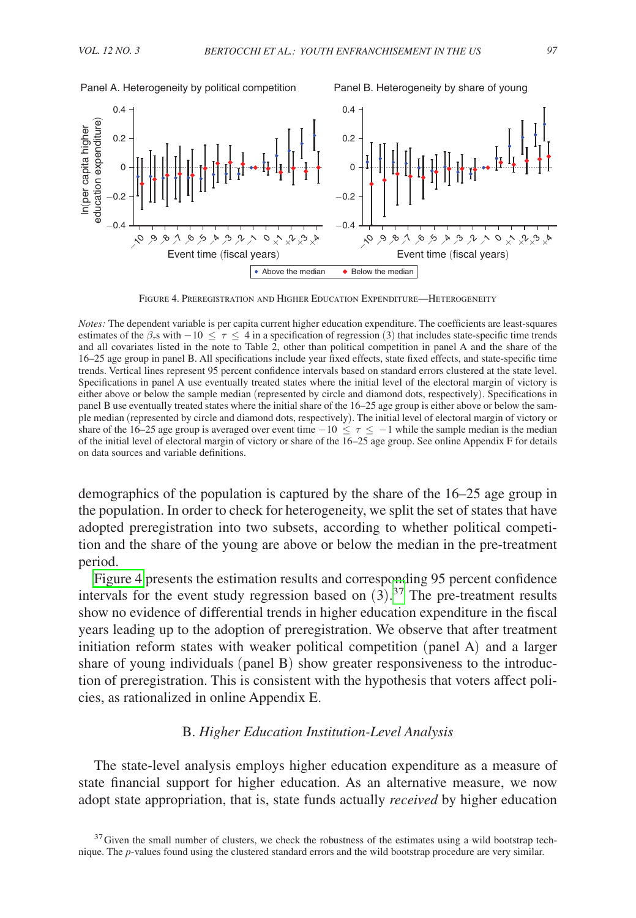<span id="page-21-1"></span>

Figure 4. Preregistration and Higher Education Expenditure—Heterogeneity

*Notes:* The dependent variable is per capita current higher education expenditure. The coefficients are least-squares estimates of the  $\beta_{\tau}$ s with  $-10 \leq \tau \leq 4$  in a specification of regression (3) that includes state-specific time trends and all covariates listed in the note to Table 2, other than political competition in panel A and the share of the 16–25 age group in panel B. All specifications include year fixed effects, state fixed effects, and state-specific time trends. Vertical lines represent 95 percent confidence intervals based on standard errors clustered at the state level. Specifications in panel A use eventually treated states where the initial level of the electoral margin of victory is either above or below the sample median (represented by circle and diamond dots, respectively). Specifications in panel B use eventually treated states where the initial share of the 16–25 age group is either above or below the sample median (represented by circle and diamond dots, respectively). The initial level of electoral margin of victory or share of the 16–25 age group is averaged over event time  $-10 \leq \tau \leq -1$  while the sample median is the median of the initial level of electoral margin of victory or share of the 16–25 age group. See online Appendix F for details on data sources and variable definitions.

demographics of the population is captured by the share of the 16–25 age group in the population. In order to check for heterogeneity, we split the set of states that have adopted preregistration into two subsets, according to whether political competition and the share of the young are above or below the median in the pre-treatment period.

[Figure 4](#page-21-1) presents the estimation results and corresponding 95 percent confidence intervals for the event study regression based on  $(3)$ .<sup>[37](#page-21-0)</sup> The pre-treatment results show no evidence of differential trends in higher education expenditure in the fiscal years leading up to the adoption of preregistration. We observe that after treatment initiation reform states with weaker political competition (panel A) and a larger share of young individuals (panel B) show greater responsiveness to the introduction of preregistration. This is consistent with the hypothesis that voters affect policies, as rationalized in online Appendix E.

# B. *Higher Education Institution-Level Analysis*

The state-level analysis employs higher education expenditure as a measure of state financial support for higher education. As an alternative measure, we now adopt state appropriation, that is, state funds actually *received* by higher education

<span id="page-21-0"></span> $37$  Given the small number of clusters, we check the robustness of the estimates using a wild bootstrap technique. The *p*-values found using the clustered standard errors and the wild bootstrap procedure are very similar.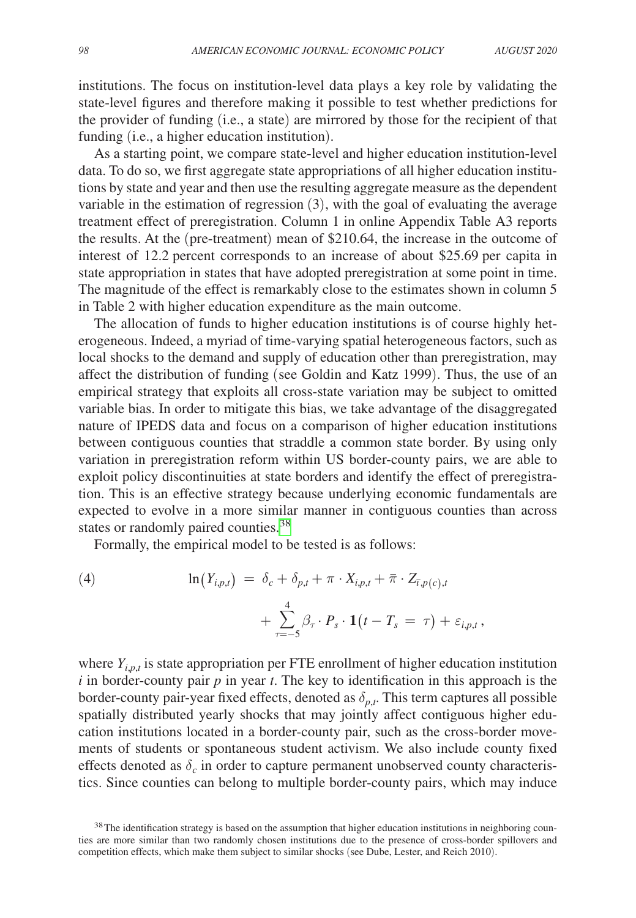institutions. The focus on institution-level data plays a key role by validating the state-level figures and therefore making it possible to test whether predictions for the provider of funding (i.e., a state) are mirrored by those for the recipient of that funding (i.e., a higher education institution).

As a starting point, we compare state-level and higher education institution-level data. To do so, we first aggregate state appropriations of all higher education institutions by state and year and then use the resulting aggregate measure as the dependent variable in the estimation of regression (3), with the goal of evaluating the average treatment effect of preregistration. Column 1 in online Appendix Table A3 reports the results. At the (pre-treatment) mean of \$210.64, the increase in the outcome of interest of 12.2 percent corresponds to an increase of about \$25.69 per capita in state appropriation in states that have adopted preregistration at some point in time. The magnitude of the effect is remarkably close to the estimates shown in column 5 in Table 2 with higher education expenditure as the main outcome.

The allocation of funds to higher education institutions is of course highly heterogeneous. Indeed, a myriad of time-varying spatial heterogeneous factors, such as local shocks to the demand and supply of education other than preregistration, may affect the distribution of funding (see Goldin and Katz 1999). Thus, the use of an empirical strategy that exploits all cross-state variation may be subject to omitted variable bias. In order to mitigate this bias, we take advantage of the disaggregated nature of IPEDS data and focus on a comparison of higher education institutions between contiguous counties that straddle a common state border. By using only variation in preregistration reform within US border-county pairs, we are able to exploit policy discontinuities at state borders and identify the effect of preregistration. This is an effective strategy because underlying economic fundamentals are expected to evolve in a more similar manner in contiguous counties than across states or randomly paired counties.<sup>[38](#page-22-0)</sup>

Formally, the empirical model to be tested is as follows:

(4) 
$$
\ln(Y_{i,p,t}) = \delta_c + \delta_{p,t} + \pi \cdot X_{i,p,t} + \overline{\pi} \cdot Z_{\overline{\iota},p(c),t} + \sum_{\tau=-5}^4 \beta_{\tau} \cdot P_s \cdot \mathbf{1}(t - T_s = \tau) + \varepsilon_{i,p,t},
$$

where  $Y_{i,p,t}$  is state appropriation per FTE enrollment of higher education institution *i* in border-county pair *p* in year *t*. The key to identification in this approach is the border-county pair-year fixed effects, denoted as  $\delta_{p,t}$ . This term captures all possible spatially distributed yearly shocks that may jointly affect contiguous higher education institutions located in a border-county pair, such as the cross-border movements of students or spontaneous student activism. We also include county fixed effects denoted as  $\delta_c$  in order to capture permanent unobserved county characteristics. Since counties can belong to multiple border-county pairs, which may induce

<span id="page-22-0"></span><sup>&</sup>lt;sup>38</sup>The identification strategy is based on the assumption that higher education institutions in neighboring counties are more similar than two randomly chosen institutions due to the presence of cross-border spillovers and competition effects, which make them subject to similar shocks (see Dube, Lester, and Reich 2010).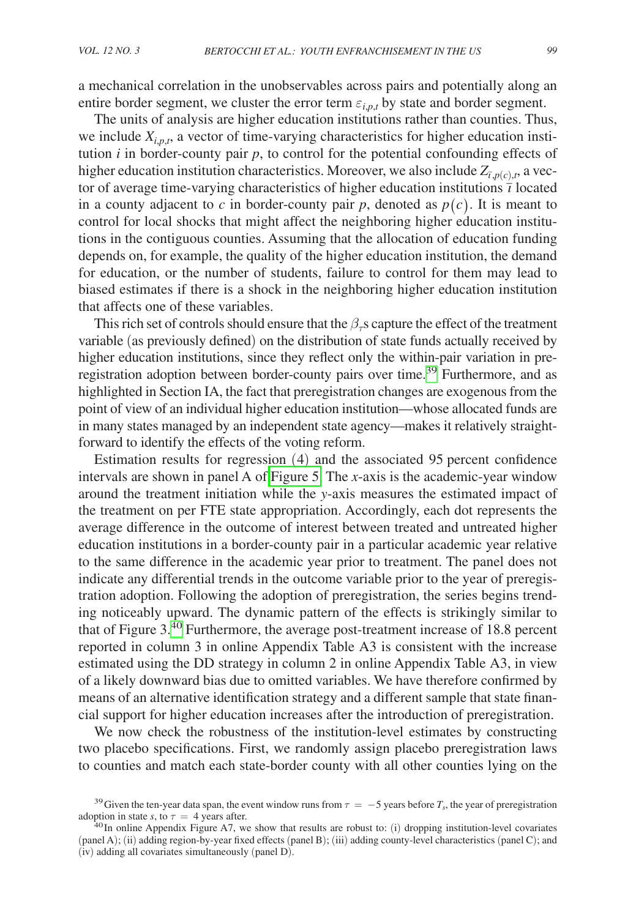a mechanical correlation in the unobservables across pairs and potentially along an entire border segment, we cluster the error term  $\varepsilon_{i,p,t}$  by state and border segment.

The units of analysis are higher education institutions rather than counties. Thus, we include  $X_{i,p,t}$ , a vector of time-varying characteristics for higher education institution  $i$  in border-county pair  $p$ , to control for the potential confounding effects of higher education institution characteristics. Moreover, we also include  $Z_{\bar{\tau}, p(c), t}$ , a vector of average time-varying characteristics of higher education institutions  $\overline{i}$  located in a county adjacent to  $c$  in border-county pair  $p$ , denoted as  $p(c)$ . It is meant to control for local shocks that might affect the neighboring higher education institutions in the contiguous counties. Assuming that the allocation of education funding depends on, for example, the quality of the higher education institution, the demand for education, or the number of students, failure to control for them may lead to biased estimates if there is a shock in the neighboring higher education institution that affects one of these variables.

This rich set of controls should ensure that the  $\beta<sub>\tau</sub>$  s capture the effect of the treatment variable (as previously defined) on the distribution of state funds actually received by higher education institutions, since they reflect only the within-pair variation in preregistration adoption between border-county pairs over time.[39](#page-23-0) Furthermore, and as highlighted in Section IA, the fact that preregistration changes are exogenous from the point of view of an individual higher education institution—whose allocated funds are in many states managed by an independent state agency—makes it relatively straightforward to identify the effects of the voting reform.

Estimation results for regression (4) and the associated 95 percent confidence intervals are shown in panel A of [Figure 5.](#page-24-0) The *x*-axis is the academic-year window around the treatment initiation while the *y*-axis measures the estimated impact of the treatment on per FTE state appropriation. Accordingly, each dot represents the average difference in the outcome of interest between treated and untreated higher education institutions in a border-county pair in a particular academic year relative to the same difference in the academic year prior to treatment. The panel does not indicate any differential trends in the outcome variable prior to the year of preregistration adoption. Following the adoption of preregistration, the series begins trending noticeably upward. The dynamic pattern of the effects is strikingly similar to that of Figure 3.[40](#page-23-1) Furthermore, the average post-treatment increase of 18.8 percent reported in column 3 in online Appendix Table A3 is consistent with the increase estimated using the DD strategy in column 2 in online Appendix Table A3, in view of a likely downward bias due to omitted variables. We have therefore confirmed by means of an alternative identification strategy and a different sample that state financial support for higher education increases after the introduction of preregistration.

We now check the robustness of the institution-level estimates by constructing two placebo specifications. First, we randomly assign placebo preregistration laws to counties and match each state-border county with all other counties lying on the

<span id="page-23-0"></span><sup>&</sup>lt;sup>39</sup>Given the ten-year data span, the event window runs from  $\tau = -5$  years before  $T_s$ , the year of preregistration adoption in state *s*, to  $\tau = 4$  years after.

<span id="page-23-1"></span><sup>&</sup>lt;sup>40</sup> In online Appendix Figure A7, we show that results are robust to: (i) dropping institution-level covariates (panel A); (ii) adding region-by-year fixed effects (panel B); (iii) adding county-level characteristics (panel C); and (iv) adding all covariates simultaneously (panel D).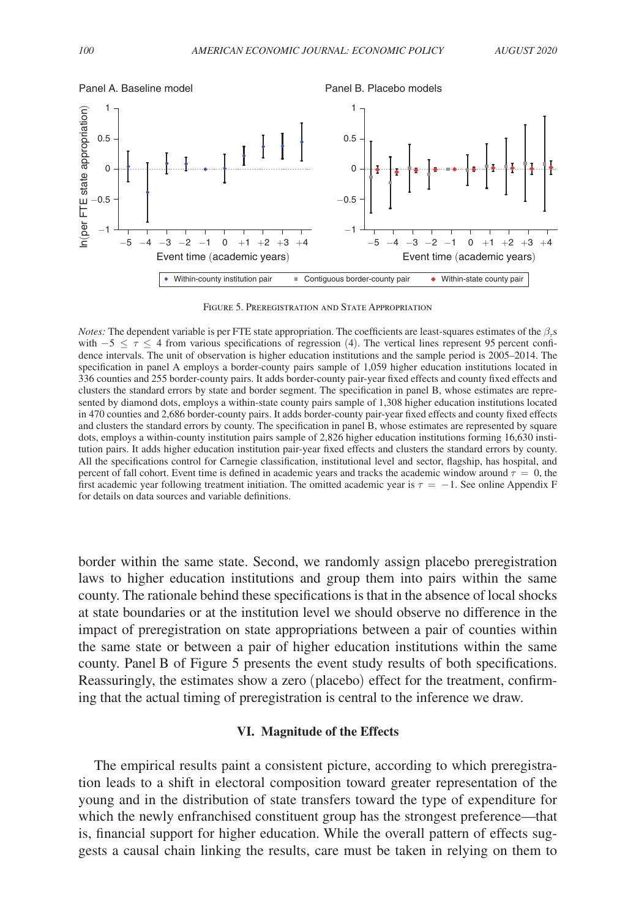<span id="page-24-0"></span>

Figure 5. Preregistration and State Appropriation

*Notes:* The dependent variable is per FTE state appropriation. The coefficients are least-squares estimates of the  $\beta_{\tau}$ s with  $-5 \leq \tau \leq 4$  from various specifications of regression (4). The vertical lines represent 95 percent confidence intervals. The unit of observation is higher education institutions and the sample period is 2005–2014. The specification in panel A employs a border-county pairs sample of 1,059 higher education institutions located in 336 counties and 255 border-county pairs. It adds border-county pair-year fixed effects and county fixed effects and clusters the standard errors by state and border segment. The specification in panel B, whose estimates are represented by diamond dots, employs a within-state county pairs sample of 1,308 higher education institutions located in 470 counties and 2,686 border-county pairs. It adds border-county pair-year fixed effects and county fixed effects and clusters the standard errors by county. The specification in panel B, whose estimates are represented by square dots, employs a within-county institution pairs sample of 2,826 higher education institutions forming 16,630 institution pairs. It adds higher education institution pair-year fixed effects and clusters the standard errors by county. All the specifications control for Carnegie classification, institutional level and sector, flagship, has hospital, and percent of fall cohort. Event time is defined in academic years and tracks the academic window around  $\tau = 0$ , the first academic year following treatment initiation. The omitted academic year is  $\tau = -1$ . See online Appendix F for details on data sources and variable definitions.

border within the same state. Second, we randomly assign placebo preregistration laws to higher education institutions and group them into pairs within the same county. The rationale behind these specifications is that in the absence of local shocks at state boundaries or at the institution level we should observe no difference in the impact of preregistration on state appropriations between a pair of counties within the same state or between a pair of higher education institutions within the same county. Panel B of Figure 5 presents the event study results of both specifications. Reassuringly, the estimates show a zero (placebo) effect for the treatment, confirming that the actual timing of preregistration is central to the inference we draw.

# **VI. Magnitude of the Effects**

The empirical results paint a consistent picture, according to which preregistration leads to a shift in electoral composition toward greater representation of the young and in the distribution of state transfers toward the type of expenditure for which the newly enfranchised constituent group has the strongest preference—that is, financial support for higher education. While the overall pattern of effects suggests a causal chain linking the results, care must be taken in relying on them to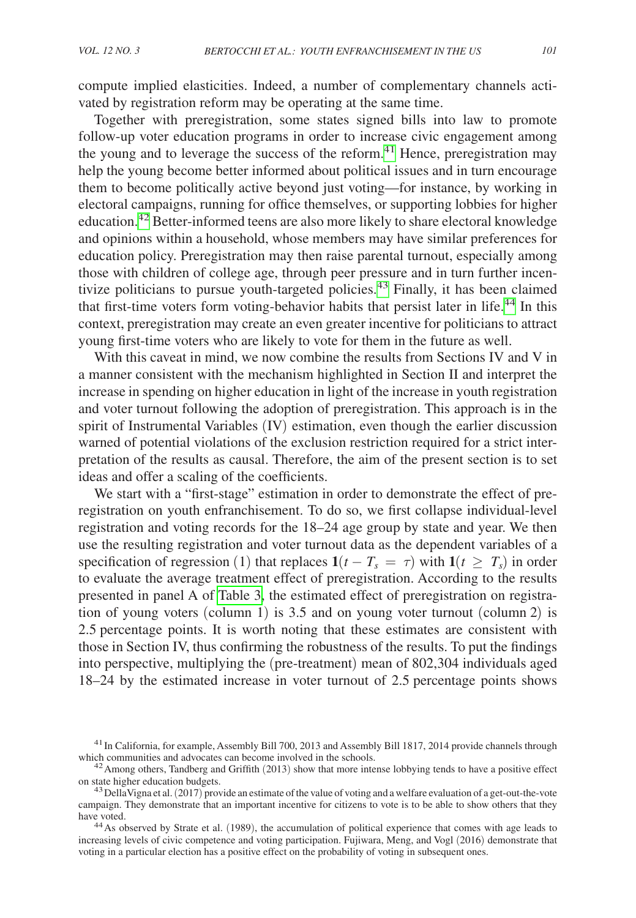compute implied elasticities. Indeed, a number of complementary channels activated by registration reform may be operating at the same time.

Together with preregistration, some states signed bills into law to promote follow-up voter education programs in order to increase civic engagement among the young and to leverage the success of the reform.<sup>[41](#page-25-0)</sup> Hence, preregistration may help the young become better informed about political issues and in turn encourage them to become politically active beyond just voting—for instance, by working in electoral campaigns, running for office themselves, or supporting lobbies for higher education.[42](#page-25-1) Better-informed teens are also more likely to share electoral knowledge and opinions within a household, whose members may have similar preferences for education policy. Preregistration may then raise parental turnout, especially among those with children of college age, through peer pressure and in turn further incentivize politicians to pursue youth-targeted policies.<sup>43</sup> Finally, it has been claimed that first-time voters form voting-behavior habits that persist later in life.[44](#page-25-3) In this context, preregistration may create an even greater incentive for politicians to attract young first-time voters who are likely to vote for them in the future as well.

With this caveat in mind, we now combine the results from Sections IV and V in a manner consistent with the mechanism highlighted in Section II and interpret the increase in spending on higher education in light of the increase in youth registration and voter turnout following the adoption of preregistration. This approach is in the spirit of Instrumental Variables (IV) estimation, even though the earlier discussion warned of potential violations of the exclusion restriction required for a strict interpretation of the results as causal. Therefore, the aim of the present section is to set ideas and offer a scaling of the coefficients.

We start with a "first-stage" estimation in order to demonstrate the effect of preregistration on youth enfranchisement. To do so, we first collapse individual-level registration and voting records for the 18–24 age group by state and year. We then use the resulting registration and voter turnout data as the dependent variables of a specification of regression (1) that replaces  $1(t - T_s = \tau)$  with  $1(t \geq T_s)$  in order to evaluate the average treatment effect of preregistration. According to the results presented in panel A of [Table 3,](#page-26-0) the estimated effect of preregistration on registration of young voters (column 1) is 3.5 and on young voter turnout (column 2) is 2.5 percentage points. It is worth noting that these estimates are consistent with those in Section IV, thus confirming the robustness of the results. To put the findings into perspective, multiplying the (pre-treatment) mean of 802,304 individuals aged 18–24 by the estimated increase in voter turnout of 2.5 percentage points shows

<span id="page-25-0"></span><sup>&</sup>lt;sup>41</sup>In California, for example, Assembly Bill 700, 2013 and Assembly Bill 1817, 2014 provide channels through

<span id="page-25-1"></span>which communities and advocates can become involved in the schools.<br><sup>42</sup>Among others, Tandberg and Griffith (2013) show that more intense lobbying tends to have a positive effect<br>on state higher education budgets.

<span id="page-25-2"></span><sup>&</sup>lt;sup>43</sup> DellaVigna et al. (2017) provide an estimate of the value of voting and a welfare evaluation of a get-out-the-vote campaign. They demonstrate that an important incentive for citizens to vote is to be able to show others that they have voted.<br><sup>44</sup>As observed by Strate et al. (1989), the accumulation of political experience that comes with age leads to

<span id="page-25-3"></span>increasing levels of civic competence and voting participation. Fujiwara, Meng, and Vogl (2016) demonstrate that voting in a particular election has a positive effect on the probability of voting in subsequent ones.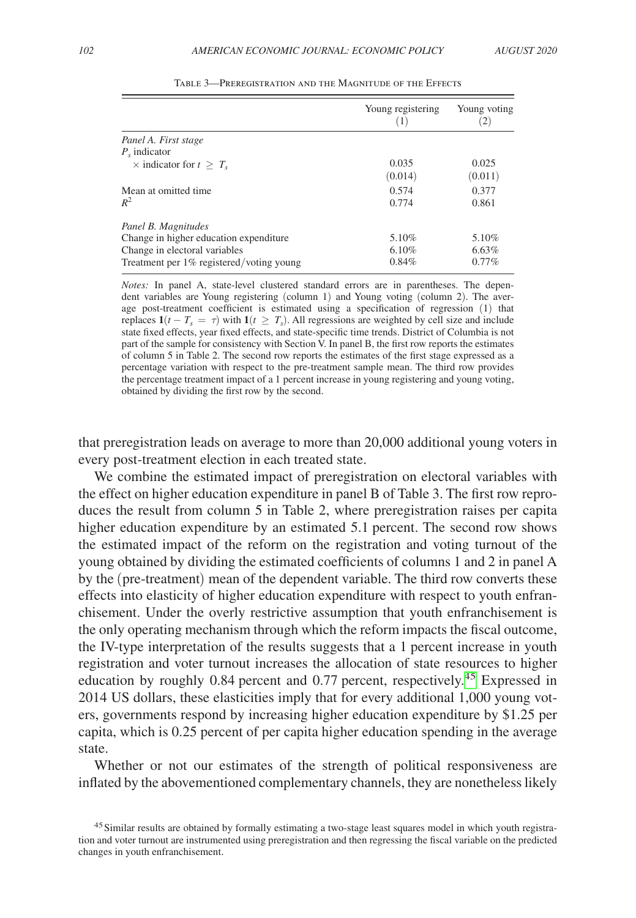<span id="page-26-0"></span>

|                                          | Young registering<br>(1) | Young voting<br>$\left 2\right\rangle$ |
|------------------------------------------|--------------------------|----------------------------------------|
| Panel A. First stage                     |                          |                                        |
| $P_{\rm s}$ indicator                    |                          |                                        |
| $\times$ indicator for $t > T_s$         | 0.035                    | 0.025                                  |
|                                          | (0.014)                  | (0.011)                                |
| Mean at omitted time.                    | 0.574                    | 0.377                                  |
| $R^2$                                    | 0.774                    | 0.861                                  |
| Panel B. Magnitudes                      |                          |                                        |
| Change in higher education expenditure   | 5.10%                    | 5.10%                                  |
| Change in electoral variables            | 6.10%                    | 6.63%                                  |
| Treatment per 1% registered/voting young | 0.84%                    | $0.77\%$                               |

Table 3—Preregistration and the Magnitude of the Effects

*Notes:* In panel A, state-level clustered standard errors are in parentheses. The dependent variables are Young registering (column 1) and Young voting (column 2). The average post-treatment coefficient is estimated using a specification of regression (1) that replaces  $\mathbf{1}(t - T_s = \tau)$  with  $\mathbf{1}(t \geq T_s)$ . All regressions are weighted by cell size and include state fixed effects, year fixed effects, and state-specific time trends. District of Columbia is not part of the sample for consistency with Section V. In panel B, the first row reports the estimates of column 5 in Table 2. The second row reports the estimates of the first stage expressed as a percentage variation with respect to the pre-treatment sample mean. The third row provides the percentage treatment impact of a 1 percent increase in young registering and young voting, obtained by dividing the first row by the second.

that preregistration leads on average to more than 20,000 additional young voters in every post-treatment election in each treated state.

We combine the estimated impact of preregistration on electoral variables with the effect on higher education expenditure in panel B of Table 3. The first row reproduces the result from column 5 in Table 2, where preregistration raises per capita higher education expenditure by an estimated 5.1 percent. The second row shows the estimated impact of the reform on the registration and voting turnout of the young obtained by dividing the estimated coefficients of columns 1 and 2 in panel A by the (pre-treatment) mean of the dependent variable. The third row converts these effects into elasticity of higher education expenditure with respect to youth enfranchisement. Under the overly restrictive assumption that youth enfranchisement is the only operating mechanism through which the reform impacts the fiscal outcome, the IV-type interpretation of the results suggests that a 1 percent increase in youth registration and voter turnout increases the allocation of state resources to higher education by roughly 0.84 percent and 0.77 percent, respectively.[45](#page-26-1) Expressed in 2014 US dollars, these elasticities imply that for every additional 1,000 young voters, governments respond by increasing higher education expenditure by \$1.25 per capita, which is 0.25 percent of per capita higher education spending in the average state.

Whether or not our estimates of the strength of political responsiveness are inflated by the abovementioned complementary channels, they are nonetheless likely

<span id="page-26-1"></span><sup>&</sup>lt;sup>45</sup> Similar results are obtained by formally estimating a two-stage least squares model in which youth registration and voter turnout are instrumented using preregistration and then regressing the fiscal variable on the predicted changes in youth enfranchisement.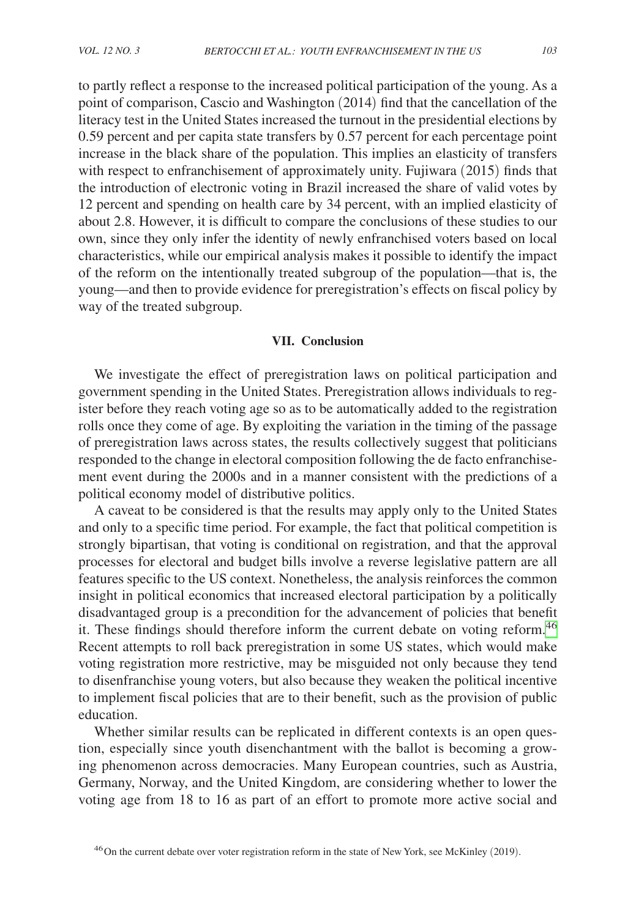to partly reflect a response to the increased political participation of the young. As a point of comparison, Cascio and Washington (2014) find that the cancellation of the literacy test in the United States increased the turnout in the presidential elections by 0.59 percent and per capita state transfers by 0.57 percent for each percentage point increase in the black share of the population. This implies an elasticity of transfers with respect to enfranchisement of approximately unity. Fujiwara (2015) finds that the introduction of electronic voting in Brazil increased the share of valid votes by 12 percent and spending on health care by 34 percent, with an implied elasticity of about 2.8. However, it is difficult to compare the conclusions of these studies to our own, since they only infer the identity of newly enfranchised voters based on local characteristics, while our empirical analysis makes it possible to identify the impact of the reform on the intentionally treated subgroup of the population—that is, the young—and then to provide evidence for preregistration's effects on fiscal policy by way of the treated subgroup.

### **VII. Conclusion**

We investigate the effect of preregistration laws on political participation and government spending in the United States. Preregistration allows individuals to register before they reach voting age so as to be automatically added to the registration rolls once they come of age. By exploiting the variation in the timing of the passage of preregistration laws across states, the results collectively suggest that politicians responded to the change in electoral composition following the de facto enfranchisement event during the 2000s and in a manner consistent with the predictions of a political economy model of distributive politics.

A caveat to be considered is that the results may apply only to the United States and only to a specific time period. For example, the fact that political competition is strongly bipartisan, that voting is conditional on registration, and that the approval processes for electoral and budget bills involve a reverse legislative pattern are all features specific to the US context. Nonetheless, the analysis reinforces the common insight in political economics that increased electoral participation by a politically disadvantaged group is a precondition for the advancement of policies that benefit it. These findings should therefore inform the current debate on voting reform.<sup>46</sup> Recent attempts to roll back preregistration in some US states, which would make voting registration more restrictive, may be misguided not only because they tend to disenfranchise young voters, but also because they weaken the political incentive to implement fiscal policies that are to their benefit, such as the provision of public education.

Whether similar results can be replicated in different contexts is an open question, especially since youth disenchantment with the ballot is becoming a growing phenomenon across democracies. Many European countries, such as Austria, Germany, Norway, and the United Kingdom, are considering whether to lower the voting age from 18 to 16 as part of an effort to promote more active social and

<span id="page-27-0"></span><sup>46</sup>On the current debate over voter registration reform in the state of New York, see McKinley (2019).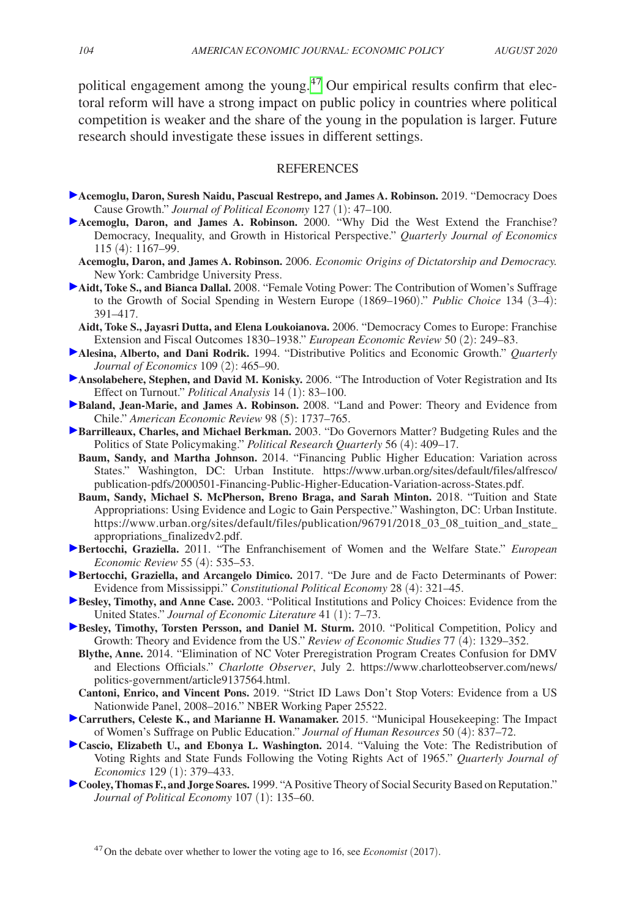political engagement among the young.<sup>47</sup> Our empirical results confirm that electoral reform will have a strong impact on public policy in countries where political competition is weaker and the share of the young in the population is larger. Future research should investigate these issues in different settings.

#### **REFERENCES**

- **Acemoglu, Daron, Suresh Naidu, Pascual Restrepo, and James A. Robinson.** 2019. "Democracy Does Cause Growth." *Journal of Political Economy* 127 (1): 47–100.
- **Acemoglu, Daron, and James A. Robinson.** 2000. "Why Did the West Extend the Franchise? Democracy, Inequality, and Growth in Historical Perspective." *Quarterly Journal of Economics* 115 (4): 1167–99.
- **Acemoglu, Daron, and James A. Robinson.** 2006. *Economic Origins of Dictatorship and Democracy.*  New York: Cambridge University Press.
- **Aidt, Toke S., and Bianca Dallal.** 2008. "Female Voting Power: The Contribution of Women's Suffrage to the Growth of Social Spending in Western Europe (1869–1960)." *Public Choice* 134 (3–4): 391–417.
	- **Aidt, Toke S., Jayasri Dutta, and Elena Loukoianova.** 2006. "Democracy Comes to Europe: Franchise Extension and Fiscal Outcomes 1830–1938." *European Economic Review* 50 (2): 249–83.
- **Alesina, Alberto, and Dani Rodrik.** 1994. "Distributive Politics and Economic Growth." *Quarterly Journal of Economics* 109 (2): 465–90.
- **Ansolabehere, Stephen, and David M. Konisky.** 2006. "The Introduction of Voter Registration and Its Effect on Turnout." *Political Analysis* 14 (1): 83–100.
- **Baland, Jean-Marie, and James A. Robinson.** 2008. "Land and Power: Theory and Evidence from Chile." *American Economic Review* 98 (5): 1737–765.
- **Barrilleaux, Charles, and Michael Berkman.** 2003. "Do Governors Matter? Budgeting Rules and the Politics of State Policymaking." *Political Research Quarterly* 56 (4): 409–17.
	- **Baum, Sandy, and Martha Johnson.** 2014. "Financing Public Higher Education: Variation across States." Washington, DC: Urban Institute. [https://www.urban.org/sites/default/files/alfresco/](https://www.urban.org/sites/default/files/alfresco/publication-pdfs/2000501-Financing-Public-Higher-Education-Variation-across-States.pdf) [publication-pdfs/2000501-Financing-Public-Higher-Education-Variation-across-States.pdf.](https://www.urban.org/sites/default/files/alfresco/publication-pdfs/2000501-Financing-Public-Higher-Education-Variation-across-States.pdf)
	- **Baum, Sandy, Michael S. McPherson, Breno Braga, and Sarah Minton.** 2018. "Tuition and State Appropriations: Using Evidence and Logic to Gain Perspective." Washington, DC: Urban Institute. https://www.urban.org/sites/default/files/publication/96791/2018\_03\_08\_tuition\_and\_state [appropriations\\_finalizedv2.pdf.](https://www.urban.org/sites/default/files/publication/96791/2018_03_08_tuition_and_state_appropriations_finalizedv2.pdf)
- **Bertocchi, Graziella.** 2011. "The Enfranchisement of Women and the Welfare State." *European Economic Review* 55 (4): 535–53.
- **Bertocchi, Graziella, and Arcangelo Dimico.** 2017. "De Jure and de Facto Determinants of Power: Evidence from Mississippi." *Constitutional Political Economy* 28 (4): 321–45.
- **Besley, Timothy, and Anne Case.** 2003. "Political Institutions and Policy Choices: Evidence from the United States." *Journal of Economic Literature* 41 (1): 7–73.
- **Besley, Timothy, Torsten Persson, and Daniel M. Sturm.** 2010. "Political Competition, Policy and Growth: Theory and Evidence from the US." *Review of Economic Studies* 77 (4): 1329–352.
	- **Blythe, Anne.** 2014. "Elimination of NC Voter Preregistration Program Creates Confusion for DMV and Elections Officials." *Charlotte Observer*, July 2. [https://www.charlotteobserver.com/news/](https://www.charlotteobserver.com/news/politics-government/article9137564.html) [politics-government/article9137564.html.](https://www.charlotteobserver.com/news/politics-government/article9137564.html)
	- **Cantoni, Enrico, and Vincent Pons.** 2019. "Strict ID Laws Don't Stop Voters: Evidence from a US Nationwide Panel, 2008–2016." NBER Working Paper 25522.
- **Carruthers, Celeste K., and Marianne H. Wanamaker.** 2015. "Municipal Housekeeping: The Impact of Women's Suffrage on Public Education." *Journal of Human Resources* 50 (4): 837–72.
- **Cascio, Elizabeth U., and Ebonya L. Washington.** 2014. "Valuing the Vote: The Redistribution of Voting Rights and State Funds Following the Voting Rights Act of 1965." *Quarterly Journal of Economics* 129 (1): 379–433.
- **Cooley, Thomas F., and Jorge Soares.** 1999. "A Positive Theory of Social Security Based on Reputation." *Journal of Political Economy* 107 (1): 135–60.

<span id="page-28-0"></span>47On the debate over whether to lower the voting age to 16, see *Economist* (2017).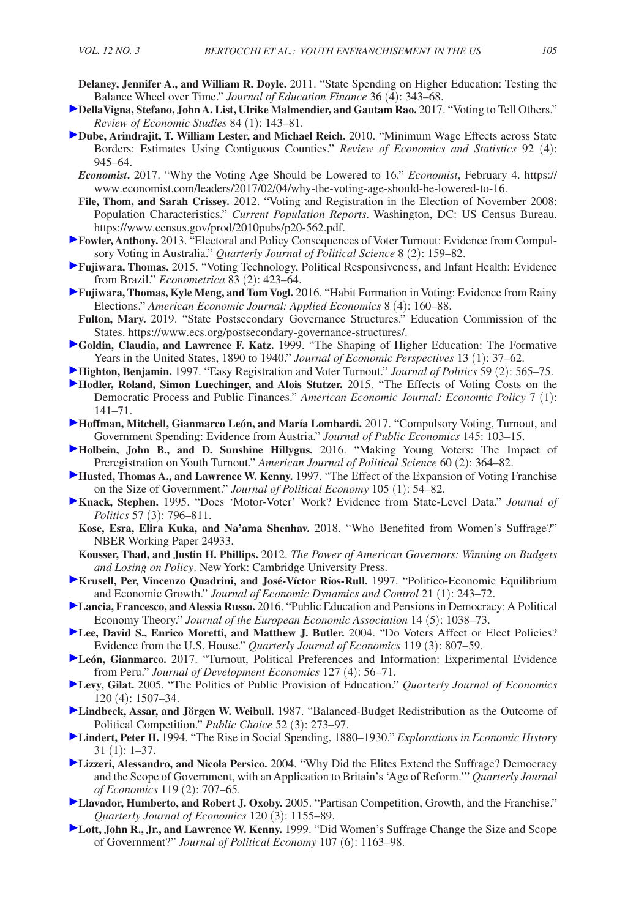- **Delaney, Jennifer A., and William R. Doyle.** 2011. "State Spending on Higher Education: Testing the Balance Wheel over Time." *Journal of Education Finance* 36 (4): 343–68.
- **DellaVigna, Stefano, John A. List, Ulrike Malmendier, and Gautam Rao.** 2017. "Voting to Tell Others." *Review of Economic Studies* 84 (1): 143–81.
- **Dube, Arindrajit, T. William Lester, and Michael Reich.** 2010. "Minimum Wage Effects across State Borders: Estimates Using Contiguous Counties." *Review of Economics and Statistics* 92 (4): 945–64.
	- *Economist***.** 2017. "Why the Voting Age Should be Lowered to 16." *Economist*, February 4. [https://](https://www.economist.com/leaders/2017/02/04/why-the-voting-age-should-be-lowered-to-16) [www.economist.com/leaders/2017/02/04/why-the-voting-age-should-be-lowered-to-16.](https://www.economist.com/leaders/2017/02/04/why-the-voting-age-should-be-lowered-to-16)
	- **File, Thom, and Sarah Crissey.** 2012. "Voting and Registration in the Election of November 2008: Population Characteristics." *Current Population Reports*. Washington, DC: US Census Bureau. [https://www.census.gov/prod/2010pubs/p20-562.pdf.](https://www.census.gov/prod/2010pubs/p20-562.pdf)
- **Fowler, Anthony.** 2013. "Electoral and Policy Consequences of Voter Turnout: Evidence from Compulsory Voting in Australia." *Quarterly Journal of Political Science* 8 (2): 159–82.
- **Fujiwara, Thomas.** 2015. "Voting Technology, Political Responsiveness, and Infant Health: Evidence from Brazil." *Econometrica* 83 (2): 423–64.
- **Fujiwara, Thomas, Kyle Meng, and Tom Vogl.** 2016. "Habit Formation in Voting: Evidence from Rainy Elections." *American Economic Journal: Applied Economics* 8 (4): 160–88.
- **Fulton, Mary.** 2019. "State Postsecondary Governance Structures." Education Commission of the States. [https://www.ecs.org/postsecondary-governance-structures/.](https://www.ecs.org/postsecondary-governance-structures/)
- **Goldin, Claudia, and Lawrence F. Katz.** 1999. "The Shaping of Higher Education: The Formative Years in the United States, 1890 to 1940." *Journal of Economic Perspectives* 13 (1): 37–62.
- **Highton, Benjamin.** 1997. "Easy Registration and Voter Turnout." *Journal of Politics* 59 (2): 565–75.
- **Hodler, Roland, Simon Luechinger, and Alois Stutzer.** 2015. "The Effects of Voting Costs on the Democratic Process and Public Finances." *American Economic Journal: Economic Policy* 7 (1): 141–71.
- **Hoffman, Mitchell, Gianmarco León, and María Lombardi.** 2017. "Compulsory Voting, Turnout, and Government Spending: Evidence from Austria." *Journal of Public Economics* 145: 103–15.
- **Holbein, John B., and D. Sunshine Hillygus.** 2016. "Making Young Voters: The Impact of Preregistration on Youth Turnout." *American Journal of Political Science* 60 (2): 364–82.
- **Husted, Thomas A., and Lawrence W. Kenny.** 1997. "The Effect of the Expansion of Voting Franchise on the Size of Government." *Journal of Political Economy* 105 (1): 54–82.
- **Knack, Stephen.** 1995. "Does 'Motor-Voter' Work? Evidence from State-Level Data." *Journal of Politics* 57 (3): 796–811.
	- **Kose, Esra, Elira Kuka, and Na'ama Shenhav.** 2018. "Who Benefited from Women's Suffrage?" NBER Working Paper 24933.
- **Kousser, Thad, and Justin H. Phillips.** 2012. *The Power of American Governors: Winning on Budgets and Losing on Policy*. New York: Cambridge University Press.
- **Krusell, Per, Vincenzo Quadrini, and José-Víctor Ríos-Rull.** 1997. "Politico-Economic Equilibrium and Economic Growth." *Journal of Economic Dynamics and Control* 21 (1): 243–72.
- **Lancia, Francesco, and Alessia Russo.** 2016. "Public Education and Pensions in Democracy: A Political Economy Theory." *Journal of the European Economic Association* 14 (5): 1038–73.
- **Lee, David S., Enrico Moretti, and Matthew J. Butler.** 2004. "Do Voters Affect or Elect Policies? Evidence from the U.S. House." *Quarterly Journal of Economics* 119 (3): 807–59.
- **León, Gianmarco.** 2017. "Turnout, Political Preferences and Information: Experimental Evidence from Peru." *Journal of Development Economics* 127 (4): 56–71.
- **Levy, Gilat.** 2005. "The Politics of Public Provision of Education." *Quarterly Journal of Economics*  120 (4): 1507–34.
- **Lindbeck, Assar, and Jörgen W. Weibull.** 1987. "Balanced-Budget Redistribution as the Outcome of Political Competition." *Public Choice* 52 (3): 273–97.
- **Lindert, Peter H.** 1994. "The Rise in Social Spending, 1880–1930." *Explorations in Economic History* 31 (1): 1–37.
- **Lizzeri, Alessandro, and Nicola Persico.** 2004. "Why Did the Elites Extend the Suffrage? Democracy and the Scope of Government, with an Application to Britain's 'Age of Reform.'" *Quarterly Journal of Economics* 119 (2): 707–65.
- **Llavador, Humberto, and Robert J. Oxoby.** 2005. "Partisan Competition, Growth, and the Franchise." *Quarterly Journal of Economics* 120 (3): 1155–89.
- **Lott, John R., Jr., and Lawrence W. Kenny.** 1999. "Did Women's Suffrage Change the Size and Scope of Government?" *Journal of Political Economy* 107 (6): 1163–98.